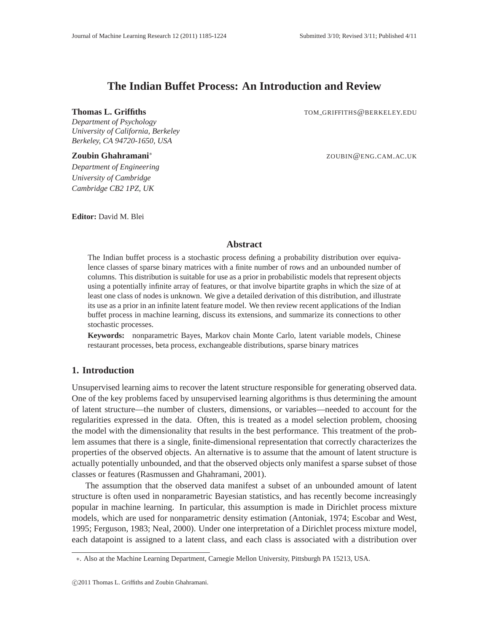# **The Indian Buffet Process: An Introduction and Review**

**Thomas L. Griffiths** TOM GRIFFITHS @BERKELEY.EDU

*Department of Psychology University of California, Berkeley Berkeley, CA 94720-1650, USA*

#### **Zoubin Ghahramani**<sup>∗</sup>

ZOUBIN@ENG.CAM.AC.UK

*Department of Engineering University of Cambridge Cambridge CB2 1PZ, UK*

**Editor:** David M. Blei

# **Abstract**

The Indian buffet process is a stochastic process defining a probability distribution over equivalence classes of sparse binary matrices with a finite number of rows and an unbounded number of columns. This distribution is suitable for use as a prior in probabilistic models that represent objects using a potentially infinite array of features, or that involve bipartite graphs in which the size of at least one class of nodes is unknown. We give a detailed derivation of this distribution, and illustrate its use as a prior in an infinite latent feature model. We then review recent applications of the Indian buffet process in machine learning, discuss its extensions, and summarize its connections to other stochastic processes.

**Keywords:** nonparametric Bayes, Markov chain Monte Carlo, latent variable models, Chinese restaurant processes, beta process, exchangeable distributions, sparse binary matrices

# **1. Introduction**

Unsupervised learning aims to recover the latent structure responsible for generating observed data. One of the key problems faced by unsupervised learning algorithms is thus determining the amount of latent structure—the number of clusters, dimensions, or variables—needed to account for the regularities expressed in the data. Often, this is treated as a model selection problem, choosing the model with the dimensionality that results in the best performance. This treatment of the problem assumes that there is a single, finite-dimensional representation that correctly characterizes the properties of the observed objects. An alternative is to assume that the amount of latent structure is actually potentially unbounded, and that the observed objects only manifest a sparse subset of those classes or features (Rasmussen and Ghahramani, 2001).

The assumption that the observed data manifest a subset of an unbounded amount of latent structure is often used in nonparametric Bayesian statistics, and has recently become increasingly popular in machine learning. In particular, this assumption is made in Dirichlet process mixture models, which are used for nonparametric density estimation (Antoniak, 1974; Escobar and West, 1995; Ferguson, 1983; Neal, 2000). Under one interpretation of a Dirichlet process mixture model, each datapoint is assigned to a latent class, and each class is associated with a distribution over

<sup>∗</sup>. Also at the Machine Learning Department, Carnegie Mellon University, Pittsburgh PA 15213, USA.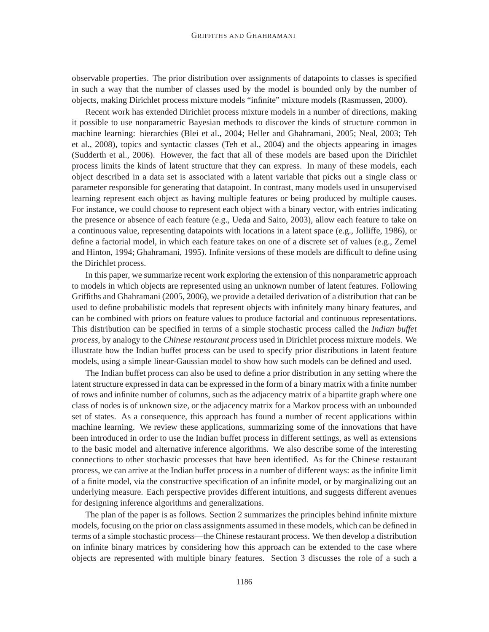observable properties. The prior distribution over assignments of datapoints to classes is specified in such a way that the number of classes used by the model is bounded only by the number of objects, making Dirichlet process mixture models "infinite" mixture models (Rasmussen, 2000).

Recent work has extended Dirichlet process mixture models in a number of directions, making it possible to use nonparametric Bayesian methods to discover the kinds of structure common in machine learning: hierarchies (Blei et al., 2004; Heller and Ghahramani, 2005; Neal, 2003; Teh et al., 2008), topics and syntactic classes (Teh et al., 2004) and the objects appearing in images (Sudderth et al., 2006). However, the fact that all of these models are based upon the Dirichlet process limits the kinds of latent structure that they can express. In many of these models, each object described in a data set is associated with a latent variable that picks out a single class or parameter responsible for generating that datapoint. In contrast, many models used in unsupervised learning represent each object as having multiple features or being produced by multiple causes. For instance, we could choose to represent each object with a binary vector, with entries indicating the presence or absence of each feature (e.g., Ueda and Saito, 2003), allow each feature to take on a continuous value, representing datapoints with locations in a latent space (e.g., Jolliffe, 1986), or define a factorial model, in which each feature takes on one of a discrete set of values (e.g., Zemel and Hinton, 1994; Ghahramani, 1995). Infinite versions of these models are difficult to define using the Dirichlet process.

In this paper, we summarize recent work exploring the extension of this nonparametric approach to models in which objects are represented using an unknown number of latent features. Following Griffiths and Ghahramani (2005, 2006), we provide a detailed derivation of a distribution that can be used to define probabilistic models that represent objects with infinitely many binary features, and can be combined with priors on feature values to produce factorial and continuous representations. This distribution can be specified in terms of a simple stochastic process called the *Indian buffet process*, by analogy to the *Chinese restaurant process* used in Dirichlet process mixture models. We illustrate how the Indian buffet process can be used to specify prior distributions in latent feature models, using a simple linear-Gaussian model to show how such models can be defined and used.

The Indian buffet process can also be used to define a prior distribution in any setting where the latent structure expressed in data can be expressed in the form of a binary matrix with a finite number of rows and infinite number of columns, such as the adjacency matrix of a bipartite graph where one class of nodes is of unknown size, or the adjacency matrix for a Markov process with an unbounded set of states. As a consequence, this approach has found a number of recent applications within machine learning. We review these applications, summarizing some of the innovations that have been introduced in order to use the Indian buffet process in different settings, as well as extensions to the basic model and alternative inference algorithms. We also describe some of the interesting connections to other stochastic processes that have been identified. As for the Chinese restaurant process, we can arrive at the Indian buffet process in a number of different ways: as the infinite limit of a finite model, via the constructive specification of an infinite model, or by marginalizing out an underlying measure. Each perspective provides different intuitions, and suggests different avenues for designing inference algorithms and generalizations.

The plan of the paper is as follows. Section 2 summarizes the principles behind infinite mixture models, focusing on the prior on class assignments assumed in these models, which can be defined in terms of a simple stochastic process—the Chinese restaurant process. We then develop a distribution on infinite binary matrices by considering how this approach can be extended to the case where objects are represented with multiple binary features. Section 3 discusses the role of a such a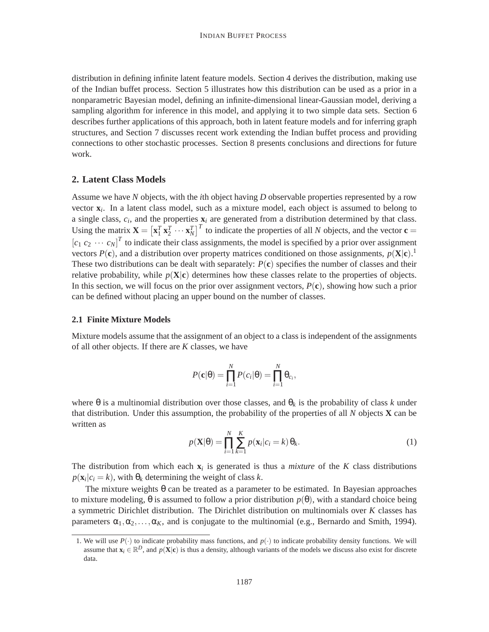distribution in defining infinite latent feature models. Section 4 derives the distribution, making use of the Indian buffet process. Section 5 illustrates how this distribution can be used as a prior in a nonparametric Bayesian model, defining an infinite-dimensional linear-Gaussian model, deriving a sampling algorithm for inference in this model, and applying it to two simple data sets. Section 6 describes further applications of this approach, both in latent feature models and for inferring graph structures, and Section 7 discusses recent work extending the Indian buffet process and providing connections to other stochastic processes. Section 8 presents conclusions and directions for future work.

# **2. Latent Class Models**

Assume we have *N* objects, with the *i*th object having *D* observable properties represented by a row vector **x***<sup>i</sup>* . In a latent class model, such as a mixture model, each object is assumed to belong to a single class,  $c_i$ , and the properties  $\mathbf{x}_i$  are generated from a distribution determined by that class. Using the matrix  $\mathbf{X} = \begin{bmatrix} \mathbf{x}_1^T \ \mathbf{x}_2^T \ \cdots \ \mathbf{x}_N^T \end{bmatrix}^T$  to indicate the properties of all *N* objects, and the vector  $\mathbf{c} =$  $[c_1 \ c_2 \ \cdots \ c_N]^T$  to indicate their class assignments, the model is specified by a prior over assignment vectors  $P(\mathbf{c})$ , and a distribution over property matrices conditioned on those assignments,  $p(\mathbf{X}|\mathbf{c})$ .<sup>1</sup> These two distributions can be dealt with separately:  $P(\mathbf{c})$  specifies the number of classes and their relative probability, while  $p(X|\mathbf{c})$  determines how these classes relate to the properties of objects. In this section, we will focus on the prior over assignment vectors,  $P(\mathbf{c})$ , showing how such a prior can be defined without placing an upper bound on the number of classes.

## **2.1 Finite Mixture Models**

Mixture models assume that the assignment of an object to a class is independent of the assignments of all other objects. If there are *K* classes, we have

$$
P(\mathbf{c}|\theta) = \prod_{i=1}^{N} P(c_i|\theta) = \prod_{i=1}^{N} \theta_{c_i},
$$

where  $\theta$  is a multinomial distribution over those classes, and  $\theta_k$  is the probability of class *k* under that distribution. Under this assumption, the probability of the properties of all *N* objects **X** can be written as

$$
p(\mathbf{X}|\boldsymbol{\theta}) = \prod_{i=1}^{N} \sum_{k=1}^{K} p(\mathbf{x}_i|c_i = k) \theta_k.
$$
 (1)

The distribution from which each  $\mathbf{x}_i$  is generated is thus a *mixture* of the *K* class distributions  $p(\mathbf{x}_i | c_i = k)$ , with  $\theta_k$  determining the weight of class *k*.

The mixture weights  $\theta$  can be treated as a parameter to be estimated. In Bayesian approaches to mixture modeling, θ is assumed to follow a prior distribution  $p(\theta)$ , with a standard choice being a symmetric Dirichlet distribution. The Dirichlet distribution on multinomials over *K* classes has parameters  $\alpha_1, \alpha_2, \ldots, \alpha_K$ , and is conjugate to the multinomial (e.g., Bernardo and Smith, 1994).

<sup>1.</sup> We will use  $P(\cdot)$  to indicate probability mass functions, and  $p(\cdot)$  to indicate probability density functions. We will assume that  $\mathbf{x}_i \in \mathbb{R}^D$ , and  $p(\mathbf{X}|\mathbf{c})$  is thus a density, although variants of the models we discuss also exist for discrete data.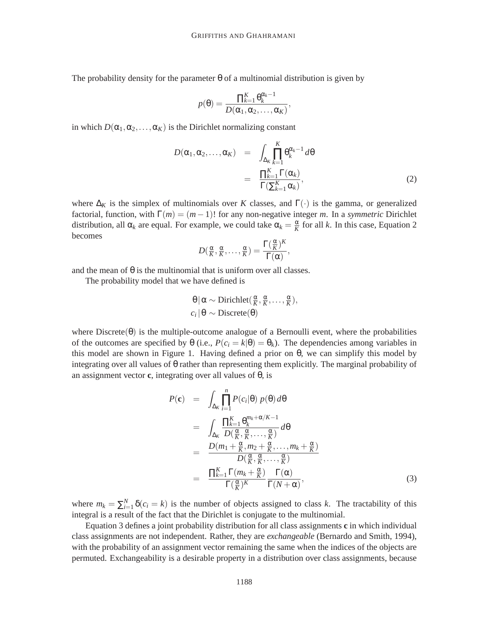The probability density for the parameter  $\theta$  of a multinomial distribution is given by

$$
p(\theta) = \frac{\prod_{k=1}^K \theta_k^{\alpha_k - 1}}{D(\alpha_1, \alpha_2, \dots, \alpha_K)},
$$

in which  $D(\alpha_1, \alpha_2, \ldots, \alpha_K)$  is the Dirichlet normalizing constant

$$
D(\alpha_1, \alpha_2, ..., \alpha_K) = \int_{\Delta_K} \prod_{k=1}^K \theta_k^{\alpha_k - 1} d\theta
$$
  
= 
$$
\frac{\prod_{k=1}^K \Gamma(\alpha_k)}{\Gamma(\sum_{k=1}^K \alpha_k)},
$$
 (2)

where  $\Delta_K$  is the simplex of multinomials over *K* classes, and  $\Gamma(\cdot)$  is the gamma, or generalized factorial, function, with  $\Gamma(m) = (m-1)!$  for any non-negative integer *m*. In a *symmetric* Dirichlet distribution, all  $\alpha_k$  are equal. For example, we could take  $\alpha_k = \frac{\alpha_k}{K}$  $\frac{\alpha}{K}$  for all *k*. In this case, Equation 2 becomes

$$
D(\tfrac{\alpha}{K},\tfrac{\alpha}{K},\ldots,\tfrac{\alpha}{K})=\frac{\Gamma(\tfrac{\alpha}{K})^K}{\Gamma(\alpha)},
$$

and the mean of  $\theta$  is the multinomial that is uniform over all classes.

The probability model that we have defined is

$$
\theta | \alpha \sim \text{Dirichlet}(\frac{\alpha}{K}, \frac{\alpha}{K}, \dots, \frac{\alpha}{K}),
$$
  

$$
c_i | \theta \sim \text{Discrete}(\theta)
$$

where  $Discrete(\theta)$  is the multiple-outcome analogue of a Bernoulli event, where the probabilities of the outcomes are specified by  $\theta$  (i.e.,  $P(c_i = k | \theta) = \theta_k$ ). The dependencies among variables in this model are shown in Figure 1. Having defined a prior on  $\theta$ , we can simplify this model by integrating over all values of θ rather than representing them explicitly. The marginal probability of an assignment vector **c**, integrating over all values of θ, is

$$
P(\mathbf{c}) = \int_{\Delta_K} \prod_{i=1}^{n} P(c_i | \theta) p(\theta) d\theta
$$
  
\n
$$
= \int_{\Delta_K} \frac{\prod_{k=1}^{K} \theta_k^{m_k + \alpha/K - 1}}{D(\frac{\alpha}{K}, \frac{\alpha}{K}, \dots, \frac{\alpha}{K})} d\theta
$$
  
\n
$$
= \frac{D(m_1 + \frac{\alpha}{K}, m_2 + \frac{\alpha}{K}, \dots, m_k + \frac{\alpha}{K})}{D(\frac{\alpha}{K}, \frac{\alpha}{K}, \dots, \frac{\alpha}{K})}
$$
  
\n
$$
= \frac{\prod_{k=1}^{K} \Gamma(m_k + \frac{\alpha}{K})}{\Gamma(\frac{\alpha}{K})^{K}} \frac{\Gamma(\alpha)}{\Gamma(N + \alpha)},
$$
(3)

where  $m_k = \sum_{i=1}^{N} \delta(c_i = k)$  is the number of objects assigned to class *k*. The tractability of this integral is a result of the fact that the Dirichlet is conjugate to the multinomial.

Equation 3 defines a joint probability distribution for all class assignments **c** in which individual class assignments are not independent. Rather, they are *exchangeable* (Bernardo and Smith, 1994), with the probability of an assignment vector remaining the same when the indices of the objects are permuted. Exchangeability is a desirable property in a distribution over class assignments, because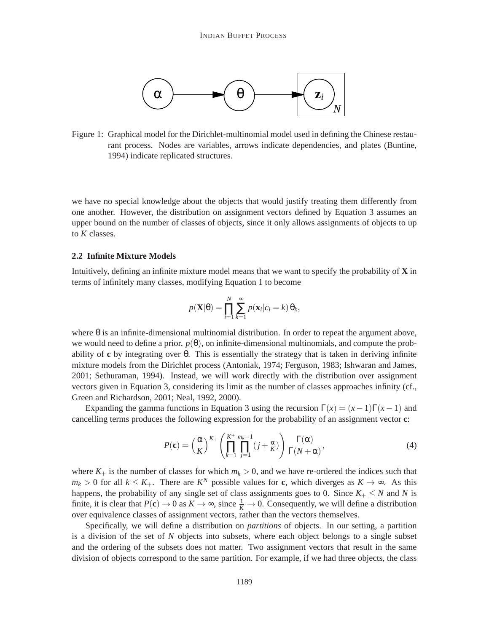

Figure 1: Graphical model for the Dirichlet-multinomial model used in defining the Chinese restaurant process. Nodes are variables, arrows indicate dependencies, and plates (Buntine, 1994) indicate replicated structures.

we have no special knowledge about the objects that would justify treating them differently from one another. However, the distribution on assignment vectors defined by Equation 3 assumes an upper bound on the number of classes of objects, since it only allows assignments of objects to up to *K* classes.

## **2.2 Infinite Mixture Models**

Intuitively, defining an infinite mixture model means that we want to specify the probability of **X** in terms of infinitely many classes, modifying Equation 1 to become

$$
p(\mathbf{X}|\boldsymbol{\theta}) = \prod_{i=1}^N \sum_{k=1}^\infty p(\mathbf{x}_i|c_i = k) \theta_k,
$$

where  $\theta$  is an infinite-dimensional multinomial distribution. In order to repeat the argument above, we would need to define a prior,  $p(\theta)$ , on infinite-dimensional multinomials, and compute the probability of **c** by integrating over θ. This is essentially the strategy that is taken in deriving infinite mixture models from the Dirichlet process (Antoniak, 1974; Ferguson, 1983; Ishwaran and James, 2001; Sethuraman, 1994). Instead, we will work directly with the distribution over assignment vectors given in Equation 3, considering its limit as the number of classes approaches infinity (cf., Green and Richardson, 2001; Neal, 1992, 2000).

Expanding the gamma functions in Equation 3 using the recursion  $\Gamma(x) = (x-1)\Gamma(x-1)$  and cancelling terms produces the following expression for the probability of an assignment vector **c**:

$$
P(\mathbf{c}) = \left(\frac{\alpha}{K}\right)^{K_+} \left(\prod_{k=1}^{K^+} \prod_{j=1}^{m_k - 1} (j + \frac{\alpha}{K})\right) \frac{\Gamma(\alpha)}{\Gamma(N + \alpha)},\tag{4}
$$

where  $K_{+}$  is the number of classes for which  $m_k > 0$ , and we have re-ordered the indices such that  $m_k > 0$  for all  $k \leq K_+$ . There are  $K^N$  possible values for **c**, which diverges as  $K \to \infty$ . As this happens, the probability of any single set of class assignments goes to 0. Since  $K_+ \leq N$  and *N* is finite, it is clear that  $P(c) \to 0$  as  $K \to \infty$ , since  $\frac{1}{K} \to 0$ . Consequently, we will define a distribution over equivalence classes of assignment vectors, rather than the vectors themselves.

Specifically, we will define a distribution on *partitions* of objects. In our setting, a partition is a division of the set of *N* objects into subsets, where each object belongs to a single subset and the ordering of the subsets does not matter. Two assignment vectors that result in the same division of objects correspond to the same partition. For example, if we had three objects, the class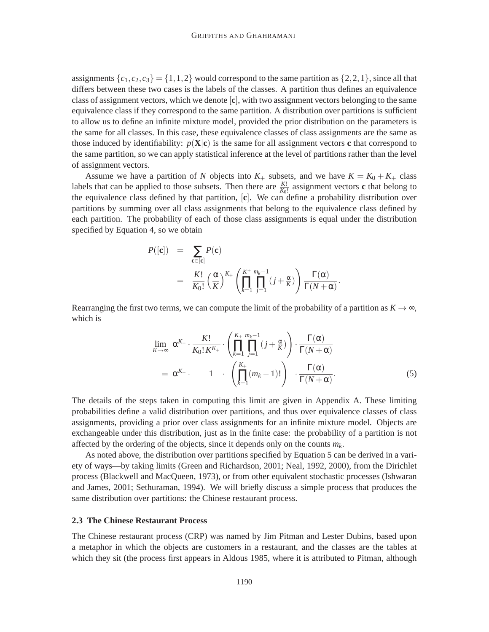assignments  $\{c_1, c_2, c_3\} = \{1, 1, 2\}$  would correspond to the same partition as  $\{2, 2, 1\}$ , since all that differs between these two cases is the labels of the classes. A partition thus defines an equivalence class of assignment vectors, which we denote [**c**], with two assignment vectors belonging to the same equivalence class if they correspond to the same partition. A distribution over partitions is sufficient to allow us to define an infinite mixture model, provided the prior distribution on the parameters is the same for all classes. In this case, these equivalence classes of class assignments are the same as those induced by identifiability:  $p(\mathbf{X}|\mathbf{c})$  is the same for all assignment vectors **c** that correspond to the same partition, so we can apply statistical inference at the level of partitions rather than the level of assignment vectors.

Assume we have a partition of *N* objects into  $K_+$  subsets, and we have  $K = K_0 + K_+$  class labels that can be applied to those subsets. Then there are  $\frac{K!}{K_0!}$  assignment vectors **c** that belong to the equivalence class defined by that partition, [**c**]. We can define a probability distribution over partitions by summing over all class assignments that belong to the equivalence class defined by each partition. The probability of each of those class assignments is equal under the distribution specified by Equation 4, so we obtain

$$
P([\mathbf{c}]) = \sum_{\mathbf{c} \in [\mathbf{c}]} P(\mathbf{c})
$$
  
= 
$$
\frac{K!}{K_0!} \left(\frac{\alpha}{K}\right)^{K_+} \left(\prod_{k=1}^{K^+} \prod_{j=1}^{m_k-1} (j + \frac{\alpha}{K})\right) \frac{\Gamma(\alpha)}{\Gamma(N + \alpha)}.
$$

Rearranging the first two terms, we can compute the limit of the probability of a partition as  $K \to \infty$ , which is

$$
\lim_{K \to \infty} \alpha^{K_{+}} \cdot \frac{K!}{K_{0}! K^{K_{+}}} \cdot \left( \prod_{k=1}^{K_{+}} \prod_{j=1}^{m_{k}-1} (j + \frac{\alpha}{K}) \right) \cdot \frac{\Gamma(\alpha)}{\Gamma(N + \alpha)}
$$
\n
$$
= \alpha^{K_{+}} \cdot 1 \cdot \left( \prod_{k=1}^{K_{+}} (m_{k} - 1)! \right) \cdot \frac{\Gamma(\alpha)}{\Gamma(N + \alpha)}.
$$
\n(5)

The details of the steps taken in computing this limit are given in Appendix A. These limiting probabilities define a valid distribution over partitions, and thus over equivalence classes of class assignments, providing a prior over class assignments for an infinite mixture model. Objects are exchangeable under this distribution, just as in the finite case: the probability of a partition is not affected by the ordering of the objects, since it depends only on the counts *mk*.

As noted above, the distribution over partitions specified by Equation 5 can be derived in a variety of ways—by taking limits (Green and Richardson, 2001; Neal, 1992, 2000), from the Dirichlet process (Blackwell and MacQueen, 1973), or from other equivalent stochastic processes (Ishwaran and James, 2001; Sethuraman, 1994). We will briefly discuss a simple process that produces the same distribution over partitions: the Chinese restaurant process.

#### **2.3 The Chinese Restaurant Process**

The Chinese restaurant process (CRP) was named by Jim Pitman and Lester Dubins, based upon a metaphor in which the objects are customers in a restaurant, and the classes are the tables at which they sit (the process first appears in Aldous 1985, where it is attributed to Pitman, although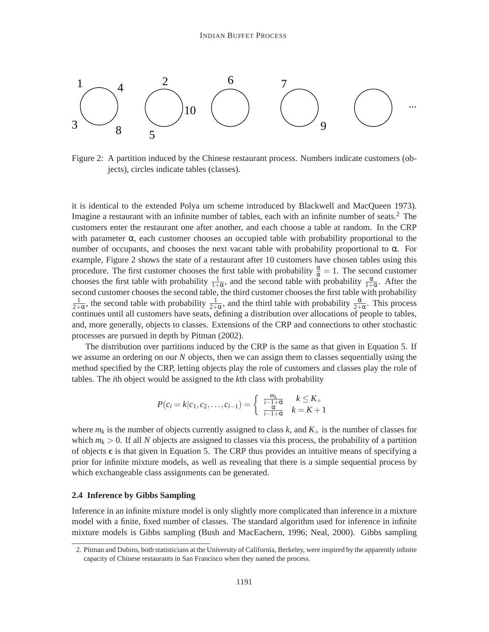

Figure 2: A partition induced by the Chinese restaurant process. Numbers indicate customers (objects), circles indicate tables (classes).

it is identical to the extended Polya urn scheme introduced by Blackwell and MacQueen 1973). Imagine a restaurant with an infinite number of tables, each with an infinite number of seats.<sup>2</sup> The customers enter the restaurant one after another, and each choose a table at random. In the CRP with parameter  $\alpha$ , each customer chooses an occupied table with probability proportional to the number of occupants, and chooses the next vacant table with probability proportional to  $\alpha$ . For example, Figure 2 shows the state of a restaurant after 10 customers have chosen tables using this procedure. The first customer chooses the first table with probability  $\frac{\alpha}{\alpha} = 1$ . The second customer chooses the first table with probability  $\frac{1}{1+\alpha}$ , and the second table with probability  $\frac{\alpha}{1+\alpha}$ . After the second customer chooses the second table, the third customer chooses the first table with probability 1  $\frac{1}{2+\alpha}$ , the second table with probability  $\frac{1}{2+\alpha}$ , and the third table with probability  $\frac{\alpha}{2+\alpha}$ . This process continues until all customers have seats, defining a distribution over allocations of people to tables, and, more generally, objects to classes. Extensions of the CRP and connections to other stochastic processes are pursued in depth by Pitman (2002).

The distribution over partitions induced by the CRP is the same as that given in Equation 5. If we assume an ordering on our *N* objects, then we can assign them to classes sequentially using the method specified by the CRP, letting objects play the role of customers and classes play the role of tables. The *i*th object would be assigned to the *k*th class with probability

$$
P(c_i = k | c_1, c_2, \dots, c_{i-1}) = \begin{cases} \frac{m_k}{i-1+\alpha} & k \leq K_+ \\ \frac{\alpha}{i-1+\alpha} & k = K+1 \end{cases}
$$

where  $m_k$  is the number of objects currently assigned to class  $k$ , and  $K_+$  is the number of classes for which  $m_k > 0$ . If all *N* objects are assigned to classes via this process, the probability of a partition of objects **c** is that given in Equation 5. The CRP thus provides an intuitive means of specifying a prior for infinite mixture models, as well as revealing that there is a simple sequential process by which exchangeable class assignments can be generated.

#### **2.4 Inference by Gibbs Sampling**

Inference in an infinite mixture model is only slightly more complicated than inference in a mixture model with a finite, fixed number of classes. The standard algorithm used for inference in infinite mixture models is Gibbs sampling (Bush and MacEachern, 1996; Neal, 2000). Gibbs sampling

<sup>2.</sup> Pitman and Dubins, both statisticians at the University of California, Berkeley, were inspired by the apparently infinite capacity of Chinese restaurants in San Francisco when they named the process.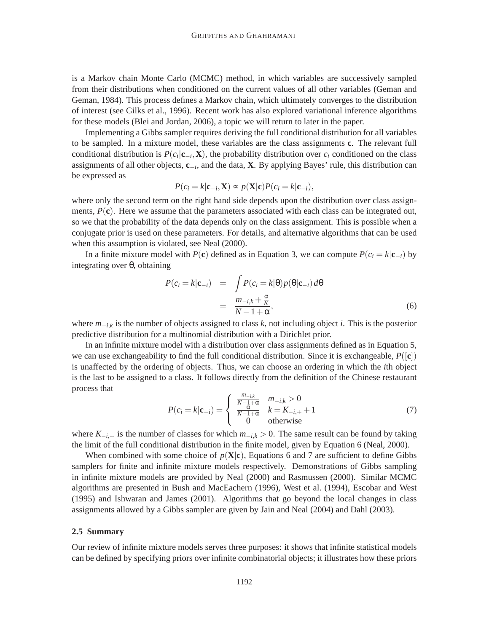is a Markov chain Monte Carlo (MCMC) method, in which variables are successively sampled from their distributions when conditioned on the current values of all other variables (Geman and Geman, 1984). This process defines a Markov chain, which ultimately converges to the distribution of interest (see Gilks et al., 1996). Recent work has also explored variational inference algorithms for these models (Blei and Jordan, 2006), a topic we will return to later in the paper.

Implementing a Gibbs sampler requires deriving the full conditional distribution for all variables to be sampled. In a mixture model, these variables are the class assignments **c**. The relevant full conditional distribution is  $P(c_i | c_{-i}, \mathbf{X})$ , the probability distribution over  $c_i$  conditioned on the class assignments of all other objects, **c**−*<sup>i</sup>* , and the data, **X**. By applying Bayes' rule, this distribution can be expressed as

$$
P(c_i = k | \mathbf{c}_{-i}, \mathbf{X}) \approx p(\mathbf{X} | \mathbf{c}) P(c_i = k | \mathbf{c}_{-i}),
$$

where only the second term on the right hand side depends upon the distribution over class assignments,  $P(\mathbf{c})$ . Here we assume that the parameters associated with each class can be integrated out, so we that the probability of the data depends only on the class assignment. This is possible when a conjugate prior is used on these parameters. For details, and alternative algorithms that can be used when this assumption is violated, see Neal (2000).

In a finite mixture model with *P*(**c**) defined as in Equation 3, we can compute  $P(c_i = k | c_{-i})$  by integrating over θ, obtaining

$$
P(c_i = k | \mathbf{c}_{-i}) = \int P(c_i = k | \theta) p(\theta | \mathbf{c}_{-i}) d\theta
$$
  
= 
$$
\frac{m_{-i,k} + \frac{\alpha}{K}}{N - 1 + \alpha},
$$
 (6)

where *m*−*i*,*<sup>k</sup>* is the number of objects assigned to class *k*, not including object *i*. This is the posterior predictive distribution for a multinomial distribution with a Dirichlet prior.

In an infinite mixture model with a distribution over class assignments defined as in Equation 5, we can use exchangeability to find the full conditional distribution. Since it is exchangeable,  $P([c])$ is unaffected by the ordering of objects. Thus, we can choose an ordering in which the *i*th object is the last to be assigned to a class. It follows directly from the definition of the Chinese restaurant process that

$$
P(c_i = k | \mathbf{c}_{-i}) = \begin{cases} \frac{m_{-i,k}}{N-1+\alpha} & m_{-i,k} > 0\\ \frac{\alpha}{N-1+\alpha} & k = K_{-i,+} + 1\\ 0 & \text{otherwise} \end{cases}
$$
(7)

where  $K_{-i,+}$  is the number of classes for which  $m_{-i,k} > 0$ . The same result can be found by taking the limit of the full conditional distribution in the finite model, given by Equation 6 (Neal, 2000).

When combined with some choice of  $p(X|c)$ , Equations 6 and 7 are sufficient to define Gibbs samplers for finite and infinite mixture models respectively. Demonstrations of Gibbs sampling in infinite mixture models are provided by Neal (2000) and Rasmussen (2000). Similar MCMC algorithms are presented in Bush and MacEachern (1996), West et al. (1994), Escobar and West (1995) and Ishwaran and James (2001). Algorithms that go beyond the local changes in class assignments allowed by a Gibbs sampler are given by Jain and Neal (2004) and Dahl (2003).

#### **2.5 Summary**

Our review of infinite mixture models serves three purposes: it shows that infinite statistical models can be defined by specifying priors over infinite combinatorial objects; it illustrates how these priors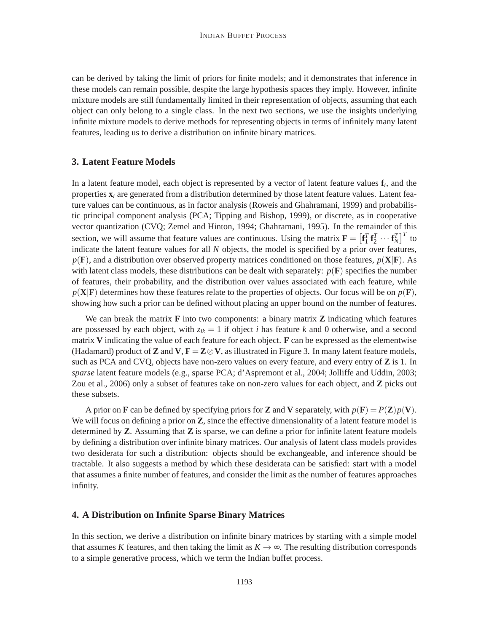can be derived by taking the limit of priors for finite models; and it demonstrates that inference in these models can remain possible, despite the large hypothesis spaces they imply. However, infinite mixture models are still fundamentally limited in their representation of objects, assuming that each object can only belong to a single class. In the next two sections, we use the insights underlying infinite mixture models to derive methods for representing objects in terms of infinitely many latent features, leading us to derive a distribution on infinite binary matrices.

## **3. Latent Feature Models**

In a latent feature model, each object is represented by a vector of latent feature values **f***<sup>i</sup>* , and the properties  $\mathbf{x}_i$  are generated from a distribution determined by those latent feature values. Latent feature values can be continuous, as in factor analysis (Roweis and Ghahramani, 1999) and probabilistic principal component analysis (PCA; Tipping and Bishop, 1999), or discrete, as in cooperative vector quantization (CVQ; Zemel and Hinton, 1994; Ghahramani, 1995). In the remainder of this section, we will assume that feature values are continuous. Using the matrix  $\mathbf{F} = \begin{bmatrix} \mathbf{f}_1^T \mathbf{f}_2^T \cdots \mathbf{f}_N^T \end{bmatrix}^T$  to indicate the latent feature values for all *N* objects, the model is specified by a prior over features,  $p(\mathbf{F})$ , and a distribution over observed property matrices conditioned on those features,  $p(\mathbf{X}|\mathbf{F})$ . As with latent class models, these distributions can be dealt with separately:  $p(\mathbf{F})$  specifies the number of features, their probability, and the distribution over values associated with each feature, while  $p(X|F)$  determines how these features relate to the properties of objects. Our focus will be on  $p(F)$ , showing how such a prior can be defined without placing an upper bound on the number of features.

We can break the matrix **F** into two components: a binary matrix **Z** indicating which features are possessed by each object, with  $z_{ik} = 1$  if object *i* has feature *k* and 0 otherwise, and a second matrix **V** indicating the value of each feature for each object. **F** can be expressed as the elementwise (Hadamard) product of **Z** and **V**,  $\mathbf{F} = \mathbf{Z} \otimes \mathbf{V}$ , as illustrated in Figure 3. In many latent feature models, such as PCA and CVQ, objects have non-zero values on every feature, and every entry of **Z** is 1. In *sparse* latent feature models (e.g., sparse PCA; d'Aspremont et al., 2004; Jolliffe and Uddin, 2003; Zou et al., 2006) only a subset of features take on non-zero values for each object, and **Z** picks out these subsets.

A prior on **F** can be defined by specifying priors for **Z** and **V** separately, with  $p(\mathbf{F}) = P(\mathbf{Z})p(\mathbf{V})$ . We will focus on defining a prior on **Z**, since the effective dimensionality of a latent feature model is determined by **Z**. Assuming that **Z** is sparse, we can define a prior for infinite latent feature models by defining a distribution over infinite binary matrices. Our analysis of latent class models provides two desiderata for such a distribution: objects should be exchangeable, and inference should be tractable. It also suggests a method by which these desiderata can be satisfied: start with a model that assumes a finite number of features, and consider the limit as the number of features approaches infinity.

## **4. A Distribution on Infinite Sparse Binary Matrices**

In this section, we derive a distribution on infinite binary matrices by starting with a simple model that assumes *K* features, and then taking the limit as  $K \rightarrow \infty$ . The resulting distribution corresponds to a simple generative process, which we term the Indian buffet process.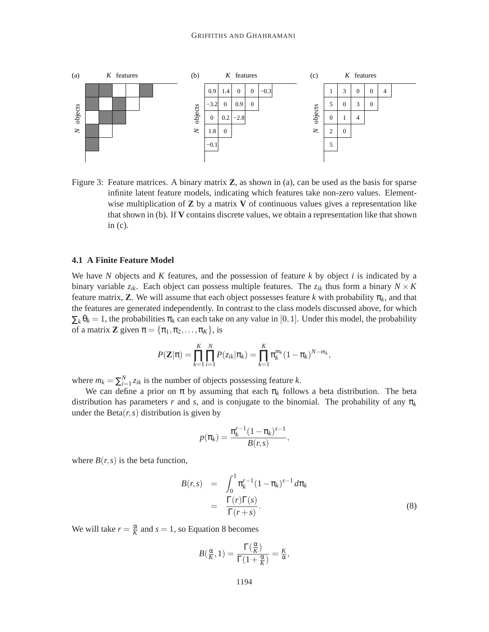

Figure 3: Feature matrices. A binary matrix **Z**, as shown in (a), can be used as the basis for sparse infinite latent feature models, indicating which features take non-zero values. Elementwise multiplication of **Z** by a matrix **V** of continuous values gives a representation like that shown in (b). If **V** contains discrete values, we obtain a representation like that shown in (c).

## **4.1 A Finite Feature Model**

We have *N* objects and *K* features, and the possession of feature *k* by object *i* is indicated by a binary variable  $z_{ik}$ . Each object can possess multiple features. The  $z_{ik}$  thus form a binary  $N \times K$ feature matrix, **Z**. We will assume that each object possesses feature *k* with probability  $\pi_k$ , and that the features are generated independently. In contrast to the class models discussed above, for which  $\sum_k \theta_k = 1$ , the probabilities  $\pi_k$  can each take on any value in [0, 1]. Under this model, the probability of a matrix **Z** given  $\pi = {\pi_1, \pi_2, \ldots, \pi_K}$ , is

$$
P(\mathbf{Z}|\pi) = \prod_{k=1}^K \prod_{i=1}^N P(z_{ik}|\pi_k) = \prod_{k=1}^K \pi_k^{m_k} (1-\pi_k)^{N-m_k},
$$

where  $m_k = \sum_{i=1}^{N} z_{ik}$  is the number of objects possessing feature *k*.

We can define a prior on  $\pi$  by assuming that each  $\pi_k$  follows a beta distribution. The beta distribution has parameters *r* and *s*, and is conjugate to the binomial. The probability of any  $\pi_k$ under the Beta $(r, s)$  distribution is given by

$$
p(\pi_k) = \frac{\pi_k^{r-1} (1 - \pi_k)^{s-1}}{B(r,s)},
$$

where  $B(r, s)$  is the beta function,

$$
B(r,s) = \int_0^1 \pi_k^{r-1} (1 - \pi_k)^{s-1} d\pi_k
$$
  
= 
$$
\frac{\Gamma(r)\Gamma(s)}{\Gamma(r+s)}.
$$
 (8)

We will take  $r = \frac{\alpha}{K}$  $\frac{\alpha}{K}$  and  $s = 1$ , so Equation 8 becomes

$$
B(\frac{\alpha}{K}, 1) = \frac{\Gamma(\frac{\alpha}{K})}{\Gamma(1 + \frac{\alpha}{K})} = \frac{K}{\alpha},
$$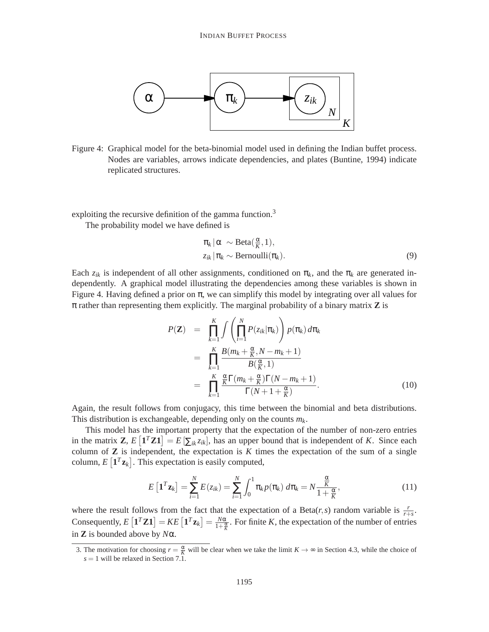

Figure 4: Graphical model for the beta-binomial model used in defining the Indian buffet process. Nodes are variables, arrows indicate dependencies, and plates (Buntine, 1994) indicate replicated structures.

exploiting the recursive definition of the gamma function.<sup>3</sup>

The probability model we have defined is

$$
\pi_k | \alpha \sim \text{Beta}(\frac{\alpha}{K}, 1),
$$
  
\n
$$
z_{ik} | \pi_k \sim \text{Bernoulli}(\pi_k).
$$
 (9)

Each  $z_{ik}$  is independent of all other assignments, conditioned on  $\pi_k$ , and the  $\pi_k$  are generated independently. A graphical model illustrating the dependencies among these variables is shown in Figure 4. Having defined a prior on  $\pi$ , we can simplify this model by integrating over all values for π rather than representing them explicitly. The marginal probability of a binary matrix **Z** is

$$
P(\mathbf{Z}) = \prod_{k=1}^{K} \int \left( \prod_{i=1}^{N} P(z_{ik} | \pi_k) \right) p(\pi_k) d\pi_k
$$
  
\n
$$
= \prod_{k=1}^{K} \frac{B(m_k + \frac{\alpha}{K}, N - m_k + 1)}{B(\frac{\alpha}{K}, 1)}
$$
  
\n
$$
= \prod_{k=1}^{K} \frac{\frac{\alpha}{K} \Gamma(m_k + \frac{\alpha}{K}) \Gamma(N - m_k + 1)}{\Gamma(N + 1 + \frac{\alpha}{K})}.
$$
 (10)

Again, the result follows from conjugacy, this time between the binomial and beta distributions. This distribution is exchangeable, depending only on the counts *mk*.

This model has the important property that the expectation of the number of non-zero entries in the matrix **Z**,  $E\left[\mathbf{1}^T\mathbf{Z}\mathbf{1}\right] = E\left[\sum_{ik} z_{ik}\right]$ , has an upper bound that is independent of *K*. Since each column of  $Z$  is independent, the expectation is  $K$  times the expectation of the sum of a single column,  $E\left[\mathbf{1}^T \mathbf{z}_k\right]$ . This expectation is easily computed,

$$
E\left[\mathbf{1}^T\mathbf{z}_k\right] = \sum_{i=1}^N E(z_{ik}) = \sum_{i=1}^N \int_0^1 \pi_k p(\pi_k) \, d\pi_k = N \frac{\frac{\alpha}{K}}{1 + \frac{\alpha}{K}},\tag{11}
$$

where the result follows from the fact that the expectation of a Beta(*r*,*s*) random variable is  $\frac{r}{r+s}$ . Consequently,  $E\left[\mathbf{1}^T\mathbf{Z}\mathbf{1}\right] = KE\left[\mathbf{1}^T\mathbf{z}_k\right] = \frac{N\alpha}{1+\frac{C}{2}}$  $\frac{N\alpha}{1+\frac{\alpha}{K}}$ . For finite *K*, the expectation of the number of entries in **Z** is bounded above by *N*α.

<sup>3.</sup> The motivation for choosing  $r = \frac{\alpha}{K}$  will be clear when we take the limit  $K \to \infty$  in Section 4.3, while the choice of *s* = 1 will be relaxed in Section 7.1.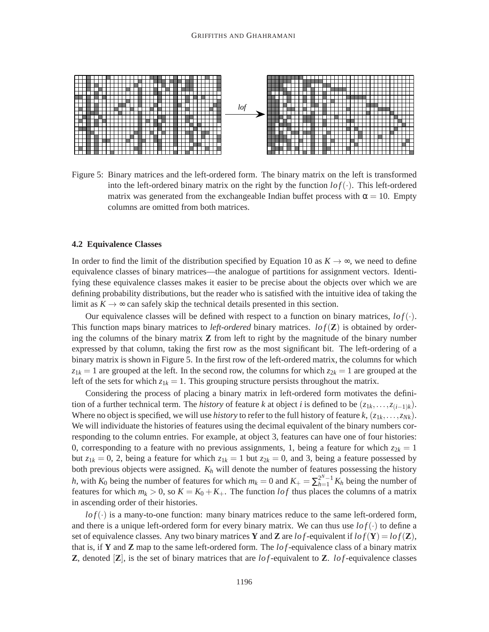

Figure 5: Binary matrices and the left-ordered form. The binary matrix on the left is transformed into the left-ordered binary matrix on the right by the function  $lof(\cdot)$ . This left-ordered matrix was generated from the exchangeable Indian buffet process with  $\alpha = 10$ . Empty columns are omitted from both matrices.

#### **4.2 Equivalence Classes**

In order to find the limit of the distribution specified by Equation 10 as  $K \to \infty$ , we need to define equivalence classes of binary matrices—the analogue of partitions for assignment vectors. Identifying these equivalence classes makes it easier to be precise about the objects over which we are defining probability distributions, but the reader who is satisfied with the intuitive idea of taking the limit as  $K \to \infty$  can safely skip the technical details presented in this section.

Our equivalence classes will be defined with respect to a function on binary matrices,  $lof(\cdot)$ . This function maps binary matrices to *left-ordered* binary matrices. *lof*( $\mathbb{Z}$ ) is obtained by ordering the columns of the binary matrix **Z** from left to right by the magnitude of the binary number expressed by that column, taking the first row as the most significant bit. The left-ordering of a binary matrix is shown in Figure 5. In the first row of the left-ordered matrix, the columns for which  $z_{1k} = 1$  are grouped at the left. In the second row, the columns for which  $z_{2k} = 1$  are grouped at the left of the sets for which  $z_{1k} = 1$ . This grouping structure persists throughout the matrix.

Considering the process of placing a binary matrix in left-ordered form motivates the definition of a further technical term. The *history* of feature *k* at object *i* is defined to be  $(z_{1k},...,z_{(i-1)k})$ . Where no object is specified, we will use *history* to refer to the full history of feature  $k$ ,  $(z_{1k},...,z_{Nk})$ . We will individuate the histories of features using the decimal equivalent of the binary numbers corresponding to the column entries. For example, at object 3, features can have one of four histories: 0, corresponding to a feature with no previous assignments, 1, being a feature for which  $z_{2k} = 1$ but  $z_{1k} = 0$ , 2, being a feature for which  $z_{1k} = 1$  but  $z_{2k} = 0$ , and 3, being a feature possessed by both previous objects were assigned. *K<sup>h</sup>* will denote the number of features possessing the history *h*, with  $K_0$  being the number of features for which  $m_k = 0$  and  $K_+ = \sum_{h=1}^{2^N-1} K_h$  being the number of features for which  $m_k > 0$ , so  $K = K_0 + K_+$ . The function *lof* thus places the columns of a matrix in ascending order of their histories.

 $lof(\cdot)$  is a many-to-one function: many binary matrices reduce to the same left-ordered form, and there is a unique left-ordered form for every binary matrix. We can thus use  $lof(\cdot)$  to define a set of equivalence classes. Any two binary matrices **Y** and **Z** are *lof*-equivalent if  $lof(\mathbf{Y}) = lof(\mathbf{Z})$ , that is, if **Y** and **Z** map to the same left-ordered form. The *lo f*-equivalence class of a binary matrix **Z**, denoted [**Z**], is the set of binary matrices that are *lo f*-equivalent to **Z**. *lo f*-equivalence classes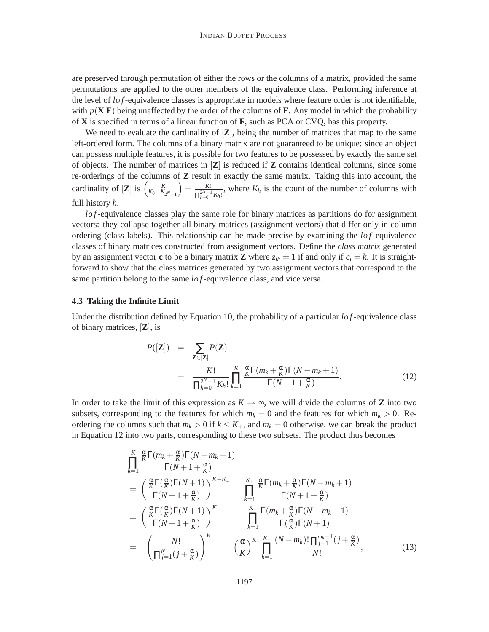are preserved through permutation of either the rows or the columns of a matrix, provided the same permutations are applied to the other members of the equivalence class. Performing inference at the level of *lo f*-equivalence classes is appropriate in models where feature order is not identifiable, with  $p(X|F)$  being unaffected by the order of the columns of  $F$ . Any model in which the probability of **X** is specified in terms of a linear function of **F**, such as PCA or CVQ, has this property.

We need to evaluate the cardinality of [**Z**], being the number of matrices that map to the same left-ordered form. The columns of a binary matrix are not guaranteed to be unique: since an object can possess multiple features, it is possible for two features to be possessed by exactly the same set of objects. The number of matrices in [**Z**] is reduced if **Z** contains identical columns, since some re-orderings of the columns of **Z** result in exactly the same matrix. Taking this into account, the cardinality of  $[\mathbf{Z}]$  is  $\begin{pmatrix} K \\ K_0 \dots K_{2^N-1} \end{pmatrix}$  $= \frac{K!}{\Box^{2N}-1}$  $\frac{K!}{\prod_{h=0}^{2N-1} K_h!}$ , where  $K_h$  is the count of the number of columns with full history *h*.

*lof*-equivalence classes play the same role for binary matrices as partitions do for assignment vectors: they collapse together all binary matrices (assignment vectors) that differ only in column ordering (class labels). This relationship can be made precise by examining the *lo f*-equivalence classes of binary matrices constructed from assignment vectors. Define the *class matrix* generated by an assignment vector **c** to be a binary matrix **Z** where  $z_{ik} = 1$  if and only if  $c_i = k$ . It is straightforward to show that the class matrices generated by two assignment vectors that correspond to the same partition belong to the same *lo f*-equivalence class, and vice versa.

#### **4.3 Taking the Infinite Limit**

Under the distribution defined by Equation 10, the probability of a particular *lo f*-equivalence class of binary matrices, [**Z**], is

$$
P([\mathbf{Z}]) = \sum_{\mathbf{Z} \in [\mathbf{Z}]} P(\mathbf{Z})
$$
  
= 
$$
\frac{K!}{\prod_{h=0}^{2^N-1} K_h!} \prod_{k=1}^K \frac{\frac{\alpha}{K} \Gamma(m_k + \frac{\alpha}{K}) \Gamma(N - m_k + 1)}{\Gamma(N + 1 + \frac{\alpha}{K})}.
$$
 (12)

In order to take the limit of this expression as  $K \to \infty$ , we will divide the columns of **Z** into two subsets, corresponding to the features for which  $m_k = 0$  and the features for which  $m_k > 0$ . Reordering the columns such that  $m_k > 0$  if  $k \leq K_+$ , and  $m_k = 0$  otherwise, we can break the product in Equation 12 into two parts, corresponding to these two subsets. The product thus becomes

$$
\prod_{k=1}^{K} \frac{\frac{\alpha}{K} \Gamma(m_k + \frac{\alpha}{K}) \Gamma(N - m_k + 1)}{\Gamma(N + 1 + \frac{\alpha}{K})}
$$
\n
$$
= \left(\frac{\frac{\alpha}{K} \Gamma(\frac{\alpha}{K}) \Gamma(N + 1)}{\Gamma(N + 1 + \frac{\alpha}{K})}\right)^{K - K_{+}} \prod_{k=1}^{K_{+}} \frac{\frac{\alpha}{K} \Gamma(m_k + \frac{\alpha}{K}) \Gamma(N - m_k + 1)}{\Gamma(N + 1 + \frac{\alpha}{K})}
$$
\n
$$
= \left(\frac{\frac{\alpha}{K} \Gamma(\frac{\alpha}{K}) \Gamma(N + 1)}{\Gamma(N + 1 + \frac{\alpha}{K})}\right)^{K} \prod_{k=1}^{K_{+}} \frac{\Gamma(m_k + \frac{\alpha}{K}) \Gamma(N - m_k + 1)}{\Gamma(\frac{\alpha}{K}) \Gamma(N + 1)}
$$
\n
$$
= \left(\frac{N!}{\prod_{j=1}^{N} (j + \frac{\alpha}{K})}\right)^{K} \left(\frac{\alpha}{K}\right)^{K_{+}} \prod_{k=1}^{K_{+}} \frac{(N - m_k)! \prod_{j=1}^{m_k - 1} (j + \frac{\alpha}{K})}{N!}, \qquad (13)
$$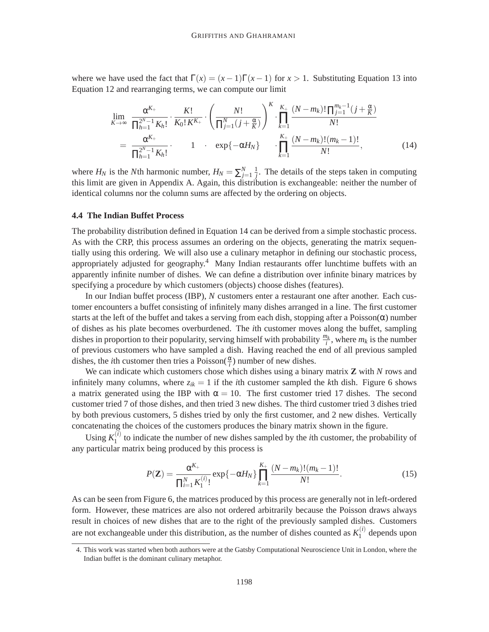where we have used the fact that  $\Gamma(x) = (x-1)\Gamma(x-1)$  for  $x > 1$ . Substituting Equation 13 into Equation 12 and rearranging terms, we can compute our limit

$$
\lim_{K \to \infty} \frac{\alpha^{K_{+}}}{\prod_{h=1}^{2^{N}-1} K_{h}!} \cdot \frac{K!}{K_{0}! K^{K_{+}}} \cdot \left(\frac{N!}{\prod_{j=1}^{N} (j + \frac{\alpha}{K})}\right)^{K} \cdot \prod_{k=1}^{K_{+}} \frac{(N - m_{k})! \prod_{j=1}^{m_{k}-1} (j + \frac{\alpha}{K})}{N!}
$$
\n
$$
= \frac{\alpha^{K_{+}}}{\prod_{h=1}^{2^{N}-1} K_{h}!} \cdot \frac{1 \cdot \exp\{-\alpha H_{N}\}}{\exp\{-\alpha H_{N}\}} \cdot \prod_{k=1}^{K_{+}} \frac{(N - m_{k})! (m_{k} - 1)!}{N!},
$$
\n(14)

where  $H_N$  is the *N*th harmonic number,  $H_N = \sum_{j=1}^N \frac{1}{j}$  $\frac{1}{i}$ . The details of the steps taken in computing this limit are given in Appendix A. Again, this distribution is exchangeable: neither the number of identical columns nor the column sums are affected by the ordering on objects.

#### **4.4 The Indian Buffet Process**

The probability distribution defined in Equation 14 can be derived from a simple stochastic process. As with the CRP, this process assumes an ordering on the objects, generating the matrix sequentially using this ordering. We will also use a culinary metaphor in defining our stochastic process, appropriately adjusted for geography.<sup>4</sup> Many Indian restaurants offer lunchtime buffets with an apparently infinite number of dishes. We can define a distribution over infinite binary matrices by specifying a procedure by which customers (objects) choose dishes (features).

In our Indian buffet process (IBP), *N* customers enter a restaurant one after another. Each customer encounters a buffet consisting of infinitely many dishes arranged in a line. The first customer starts at the left of the buffet and takes a serving from each dish, stopping after a Poisson( $\alpha$ ) number of dishes as his plate becomes overburdened. The *i*th customer moves along the buffet, sampling dishes in proportion to their popularity, serving himself with probability  $\frac{m_k}{i}$ , where  $m_k$  is the number of previous customers who have sampled a dish. Having reached the end of all previous sampled dishes, the *i*th customer then tries a Poisson( $\frac{\alpha}{i}$ ) number of new dishes.

We can indicate which customers chose which dishes using a binary matrix **Z** with *N* rows and infinitely many columns, where  $z_{ik} = 1$  if the *i*th customer sampled the *k*th dish. Figure 6 shows a matrix generated using the IBP with  $\alpha = 10$ . The first customer tried 17 dishes. The second customer tried 7 of those dishes, and then tried 3 new dishes. The third customer tried 3 dishes tried by both previous customers, 5 dishes tried by only the first customer, and 2 new dishes. Vertically concatenating the choices of the customers produces the binary matrix shown in the figure.

Using  $K_1^{(i)}$  $t_1^{(t)}$  to indicate the number of new dishes sampled by the *i*th customer, the probability of any particular matrix being produced by this process is

$$
P(\mathbf{Z}) = \frac{\alpha^{K_{+}}}{\prod_{i=1}^{N} K_{1}^{(i)}!} \exp\{-\alpha H_{N}\} \prod_{k=1}^{K_{+}} \frac{(N - m_{k})!(m_{k} - 1)!}{N!}.
$$
 (15)

As can be seen from Figure 6, the matrices produced by this process are generally not in left-ordered form. However, these matrices are also not ordered arbitrarily because the Poisson draws always result in choices of new dishes that are to the right of the previously sampled dishes. Customers are not exchangeable under this distribution, as the number of dishes counted as  $K_1^{(i)}$  $1^{(l)}$  depends upon

<sup>4.</sup> This work was started when both authors were at the Gatsby Computational Neuroscience Unit in London, where the Indian buffet is the dominant culinary metaphor.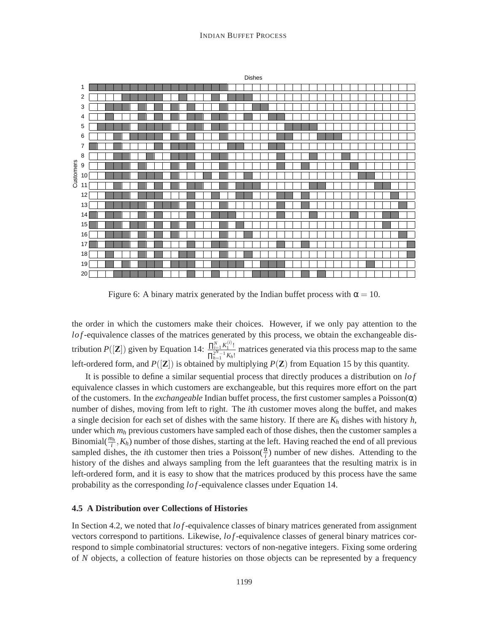

Figure 6: A binary matrix generated by the Indian buffet process with  $\alpha = 10$ .

the order in which the customers make their choices. However, if we only pay attention to the lof-equivalence classes of the matrices generated by this process, we obtain the exchangeable distribution  $P([\mathbf{Z}])$  given by Equation 14:  $\frac{\prod_{i=1}^{N} K_i^{(i)}\cdot \prod_{i=1}^{N} K_i^{(i)}}{T^{(i)}\cdot \prod_{i=1}^{N} K_i^{(i)}}$  $\overline{\prod_{h=1}^{2^N-1} K_h!}$ matrices generated via this process map to the same left-ordered form, and  $P(|\mathbf{Z}|)$  is obtained by multiplying  $P(\mathbf{Z})$  from Equation 15 by this quantity.

It is possible to define a similar sequential process that directly produces a distribution on *lo f* equivalence classes in which customers are exchangeable, but this requires more effort on the part of the customers. In the *exchangeable* Indian buffet process, the first customer samples a Poisson( $\alpha$ ) number of dishes, moving from left to right. The *i*th customer moves along the buffet, and makes a single decision for each set of dishes with the same history. If there are *K<sup>h</sup>* dishes with history *h*, under which *m<sup>h</sup>* previous customers have sampled each of those dishes, then the customer samples a Binomial $(\frac{m_h}{i}, K_h)$  number of those dishes, starting at the left. Having reached the end of all previous sampled dishes, the *i*th customer then tries a Poisson( $\frac{\alpha}{i}$ ) number of new dishes. Attending to the history of the dishes and always sampling from the left guarantees that the resulting matrix is in left-ordered form, and it is easy to show that the matrices produced by this process have the same probability as the corresponding *lo f*-equivalence classes under Equation 14.

# **4.5 A Distribution over Collections of Histories**

In Section 4.2, we noted that *lo f*-equivalence classes of binary matrices generated from assignment vectors correspond to partitions. Likewise, *lo f*-equivalence classes of general binary matrices correspond to simple combinatorial structures: vectors of non-negative integers. Fixing some ordering of *N* objects, a collection of feature histories on those objects can be represented by a frequency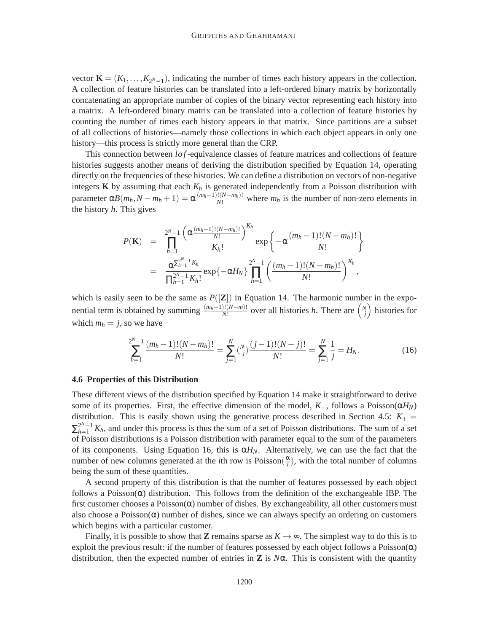vector  $\mathbf{K} = (K_1, \ldots, K_{2^N-1})$ , indicating the number of times each history appears in the collection. A collection of feature histories can be translated into a left-ordered binary matrix by horizontally concatenating an appropriate number of copies of the binary vector representing each history into a matrix. A left-ordered binary matrix can be translated into a collection of feature histories by counting the number of times each history appears in that matrix. Since partitions are a subset of all collections of histories—namely those collections in which each object appears in only one history—this process is strictly more general than the CRP.

This connection between *lo f*-equivalence classes of feature matrices and collections of feature histories suggests another means of deriving the distribution specified by Equation 14, operating directly on the frequencies of these histories. We can define a distribution on vectors of non-negative integers  $\bf{K}$  by assuming that each  $K_h$  is generated independently from a Poisson distribution with parameter  $\alpha B(m_h, N - m_h + 1) = \alpha \frac{(m_h-1)!(N-m_h)!}{N!}$  where  $m_h$  is the number of non-zero elements in the history *h*. This gives

$$
P(\mathbf{K}) = \prod_{h=1}^{2^{N}-1} \frac{\left(\alpha \frac{(m_{h}-1)!(N-m_{h})!}{N!}\right)^{K_{h}}}{K_{h}!} \exp\left\{-\alpha \frac{(m_{h}-1)!(N-m_{h})!}{N!}\right\}
$$
  
= 
$$
\frac{\alpha \sum_{h=1}^{2^{N}-1} K_{h}}{\prod_{h=1}^{2^{N}-1} K_{h}!} \exp\left\{-\alpha H_{N}\right\} \prod_{h=1}^{2^{N}-1} \left(\frac{(m_{h}-1)!(N-m_{h})!}{N!}\right)^{K_{h}},
$$

which is easily seen to be the same as  $P(|\mathbf{Z}|)$  in Equation 14. The harmonic number in the exponential term is obtained by summing  $\frac{(m_h-1)!(N-m)!}{N!}$  over all histories *h*. There are  $\binom{N}{j}$  histories for which  $m_h = j$ , so we have

$$
\sum_{h=1}^{2^N-1} \frac{(m_h-1)!(N-m_h)!}{N!} = \sum_{j=1}^N {N \choose j} \frac{(j-1)!(N-j)!}{N!} = \sum_{j=1}^N \frac{1}{j} = H_N.
$$
 (16)

# **4.6 Properties of this Distribution**

These different views of the distribution specified by Equation 14 make it straightforward to derive some of its properties. First, the effective dimension of the model,  $K_{+}$ , follows a Poisson( $\alpha H_N$ ) distribution. This is easily shown using the generative process described in Section 4.5:  $K_{+}$  =  $\sum_{h=1}^{2^N-1} K_h$ , and under this process is thus the sum of a set of Poisson distributions. The sum of a set of Poisson distributions is a Poisson distribution with parameter equal to the sum of the parameters of its components. Using Equation 16, this is α*HN*. Alternatively, we can use the fact that the number of new columns generated at the *i*th row is Poisson $(\frac{\alpha}{i})$  $\frac{\alpha}{i}$ ), with the total number of columns being the sum of these quantities.

A second property of this distribution is that the number of features possessed by each object follows a Poisson $(\alpha)$  distribution. This follows from the definition of the exchangeable IBP. The first customer chooses a Poisson $(\alpha)$  number of dishes. By exchangeability, all other customers must also choose a Poisson $(\alpha)$  number of dishes, since we can always specify an ordering on customers which begins with a particular customer.

Finally, it is possible to show that **Z** remains sparse as  $K \to \infty$ . The simplest way to do this is to exploit the previous result: if the number of features possessed by each object follows a Poisson( $\alpha$ ) distribution, then the expected number of entries in **Z** is  $N\alpha$ . This is consistent with the quantity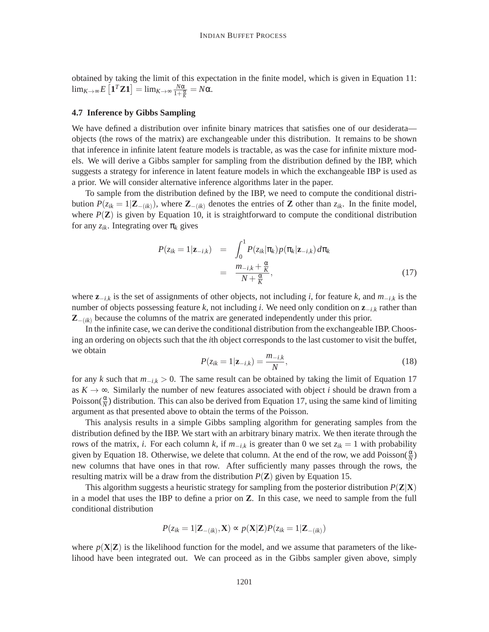obtained by taking the limit of this expectation in the finite model, which is given in Equation 11:  $\lim_{K\to\infty} E\left[\mathbf{1}^T \mathbf{Z} \mathbf{1}\right] = \lim_{K\to\infty} \frac{N\alpha}{1+\frac{C}{2}}$  $\frac{N\alpha}{1+\frac{\alpha}{K}}=N\alpha$ .

#### **4.7 Inference by Gibbs Sampling**

We have defined a distribution over infinite binary matrices that satisfies one of our desiderata objects (the rows of the matrix) are exchangeable under this distribution. It remains to be shown that inference in infinite latent feature models is tractable, as was the case for infinite mixture models. We will derive a Gibbs sampler for sampling from the distribution defined by the IBP, which suggests a strategy for inference in latent feature models in which the exchangeable IBP is used as a prior. We will consider alternative inference algorithms later in the paper.

To sample from the distribution defined by the IBP, we need to compute the conditional distribution  $P(z_{ik} = 1 | \mathbf{Z}_{-(ik)})$ , where  $\mathbf{Z}_{-(ik)}$  denotes the entries of **Z** other than  $z_{ik}$ . In the finite model, where  $P(\mathbf{Z})$  is given by Equation 10, it is straightforward to compute the conditional distribution for any  $z_{ik}$ . Integrating over  $\pi_k$  gives

$$
P(z_{ik} = 1 | \mathbf{z}_{-i,k}) = \int_0^1 P(z_{ik} | \pi_k) p(\pi_k | \mathbf{z}_{-i,k}) d\pi_k
$$
  

$$
= \frac{m_{-i,k} + \frac{\alpha}{K}}{N + \frac{\alpha}{K}}, \qquad (17)
$$

where **z**−*i*,*<sup>k</sup>* is the set of assignments of other objects, not including *i*, for feature *k*, and *m*−*i*,*<sup>k</sup>* is the number of objects possessing feature *k*, not including *i*. We need only condition on **z**−*i*,*<sup>k</sup>* rather than **Z**−(*ik*) because the columns of the matrix are generated independently under this prior.

In the infinite case, we can derive the conditional distribution from the exchangeable IBP. Choosing an ordering on objects such that the *i*th object corresponds to the last customer to visit the buffet, we obtain

$$
P(z_{ik}=1|\mathbf{z}_{-i,k})=\frac{m_{-i,k}}{N},\qquad(18)
$$

for any *k* such that  $m_{-i,k} > 0$ . The same result can be obtained by taking the limit of Equation 17 as  $K \rightarrow \infty$ . Similarly the number of new features associated with object *i* should be drawn from a Poisson( $\frac{\alpha}{N}$ ) distribution. This can also be derived from Equation 17, using the same kind of limiting argument as that presented above to obtain the terms of the Poisson.

This analysis results in a simple Gibbs sampling algorithm for generating samples from the distribution defined by the IBP. We start with an arbitrary binary matrix. We then iterate through the rows of the matrix, *i*. For each column *k*, if  $m_{-i,k}$  is greater than 0 we set  $z_{ik} = 1$  with probability given by Equation 18. Otherwise, we delete that column. At the end of the row, we add Poisson $(\frac{\alpha}{N})$ new columns that have ones in that row. After sufficiently many passes through the rows, the resulting matrix will be a draw from the distribution  $P(Z)$  given by Equation 15.

This algorithm suggests a heuristic strategy for sampling from the posterior distribution  $P(Z|X)$ in a model that uses the IBP to define a prior on **Z**. In this case, we need to sample from the full conditional distribution

$$
P(z_{ik}=1|\mathbf{Z}_{-(ik)},\mathbf{X}) \sim p(\mathbf{X}|\mathbf{Z})P(z_{ik}=1|\mathbf{Z}_{-(ik)})
$$

where  $p(X|Z)$  is the likelihood function for the model, and we assume that parameters of the likelihood have been integrated out. We can proceed as in the Gibbs sampler given above, simply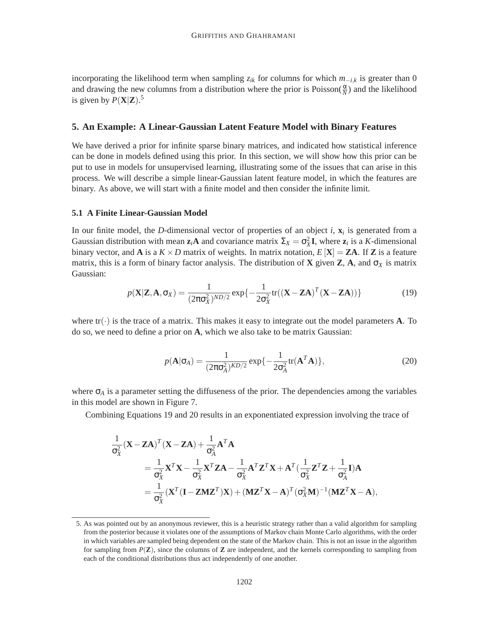incorporating the likelihood term when sampling *zik* for columns for which *m*−*i*,*<sup>k</sup>* is greater than 0 and drawing the new columns from a distribution where the prior is Poisson( $\frac{\alpha}{N}$ ) and the likelihood is given by  $P(X|Z)$ .<sup>5</sup>

# **5. An Example: A Linear-Gaussian Latent Feature Model with Binary Features**

We have derived a prior for infinite sparse binary matrices, and indicated how statistical inference can be done in models defined using this prior. In this section, we will show how this prior can be put to use in models for unsupervised learning, illustrating some of the issues that can arise in this process. We will describe a simple linear-Gaussian latent feature model, in which the features are binary. As above, we will start with a finite model and then consider the infinite limit.

### **5.1 A Finite Linear-Gaussian Model**

In our finite model, the *D*-dimensional vector of properties of an object *i*, **x***<sup>i</sup>* is generated from a Gaussian distribution with mean  $z_i$ **A** and covariance matrix  $\Sigma_X = \sigma_X^2 \mathbf{I}$ , where  $z_i$  is a *K*-dimensional binary vector, and **A** is a  $K \times D$  matrix of weights. In matrix notation,  $E[X] = ZA$ . If Z is a feature matrix, this is a form of binary factor analysis. The distribution of **X** given **Z**, **A**, and  $\sigma_X$  is matrix Gaussian:

$$
p(\mathbf{X}|\mathbf{Z}, \mathbf{A}, \sigma_X) = \frac{1}{(2\pi\sigma_X^2)^{ND/2}} \exp\{-\frac{1}{2\sigma_X^2} \text{tr}((\mathbf{X} - \mathbf{Z}\mathbf{A})^T(\mathbf{X} - \mathbf{Z}\mathbf{A}))\}
$$
(19)

where  $tr(\cdot)$  is the trace of a matrix. This makes it easy to integrate out the model parameters **A**. To do so, we need to define a prior on **A**, which we also take to be matrix Gaussian:

$$
p(\mathbf{A}|\sigma_A) = \frac{1}{(2\pi\sigma_A^2)^{KD/2}} \exp\{-\frac{1}{2\sigma_A^2} \text{tr}(\mathbf{A}^T \mathbf{A})\},\tag{20}
$$

where  $\sigma_A$  is a parameter setting the diffuseness of the prior. The dependencies among the variables in this model are shown in Figure 7.

Combining Equations 19 and 20 results in an exponentiated expression involving the trace of

$$
\frac{1}{\sigma_X^2} (\mathbf{X} - \mathbf{Z} \mathbf{A})^T (\mathbf{X} - \mathbf{Z} \mathbf{A}) + \frac{1}{\sigma_A^2} \mathbf{A}^T \mathbf{A}
$$
\n
$$
= \frac{1}{\sigma_X^2} \mathbf{X}^T \mathbf{X} - \frac{1}{\sigma_X^2} \mathbf{X}^T \mathbf{Z} \mathbf{A} - \frac{1}{\sigma_X^2} \mathbf{A}^T \mathbf{Z}^T \mathbf{X} + \mathbf{A}^T (\frac{1}{\sigma_X^2} \mathbf{Z}^T \mathbf{Z} + \frac{1}{\sigma_A^2} \mathbf{I}) \mathbf{A}
$$
\n
$$
= \frac{1}{\sigma_X^2} (\mathbf{X}^T (\mathbf{I} - \mathbf{Z} \mathbf{M} \mathbf{Z}^T) \mathbf{X}) + (\mathbf{M} \mathbf{Z}^T \mathbf{X} - \mathbf{A})^T (\sigma_X^2 \mathbf{M})^{-1} (\mathbf{M} \mathbf{Z}^T \mathbf{X} - \mathbf{A}),
$$

<sup>5.</sup> As was pointed out by an anonymous reviewer, this is a heuristic strategy rather than a valid algorithm for sampling from the posterior because it violates one of the assumptions of Markov chain Monte Carlo algorithms, with the order in which variables are sampled being dependent on the state of the Markov chain. This is not an issue in the algorithm for sampling from  $P(\mathbf{Z})$ , since the columns of **Z** are independent, and the kernels corresponding to sampling from each of the conditional distributions thus act independently of one another.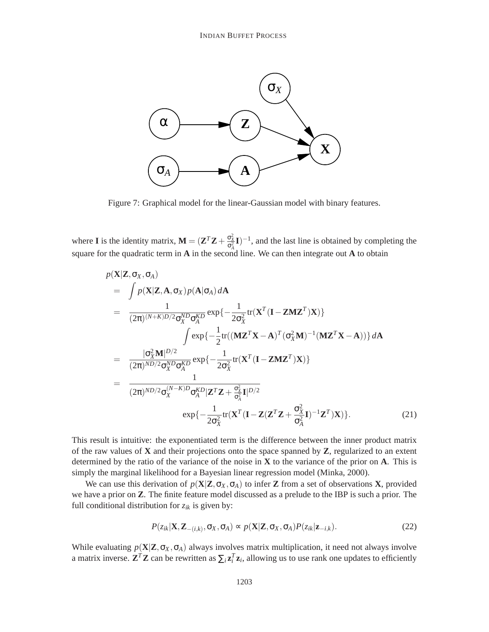

Figure 7: Graphical model for the linear-Gaussian model with binary features.

where **I** is the identity matrix,  $\mathbf{M} = (\mathbf{Z}^T \mathbf{Z} + \frac{\sigma_X^2}{\sigma_A^2} \mathbf{I})^{-1}$ , and the last line is obtained by completing the square for the quadratic term in **A** in the second line. We can then integrate out **A** to obtain

$$
p(\mathbf{X}|\mathbf{Z}, \sigma_X, \sigma_A)
$$
\n
$$
= \int p(\mathbf{X}|\mathbf{Z}, \mathbf{A}, \sigma_X) p(\mathbf{A}|\sigma_A) d\mathbf{A}
$$
\n
$$
= \frac{1}{(2\pi)^{(N+K)D/2} \sigma_X^{ND} \sigma_A^{KD}} \exp\{-\frac{1}{2\sigma_X^2} tr(\mathbf{X}^T (\mathbf{I} - \mathbf{Z} \mathbf{M} \mathbf{Z}^T) \mathbf{X})\}
$$
\n
$$
\int \exp\{-\frac{1}{2} tr((\mathbf{M}\mathbf{Z}^T \mathbf{X} - \mathbf{A})^T (\sigma_X^2 \mathbf{M})^{-1} (\mathbf{M}\mathbf{Z}^T \mathbf{X} - \mathbf{A}))\} d\mathbf{A}
$$
\n
$$
= \frac{|\sigma_X^2 \mathbf{M}|^{D/2}}{(2\pi)^{ND/2} \sigma_X^{ND} \sigma_A^{KD}} \exp\{-\frac{1}{2\sigma_X^2} tr(\mathbf{X}^T (\mathbf{I} - \mathbf{Z} \mathbf{M} \mathbf{Z}^T) \mathbf{X})\}
$$
\n
$$
= \frac{1}{(2\pi)^{ND/2} \sigma_X^{(N-K)D} \sigma_A^{KD} |\mathbf{Z}^T \mathbf{Z} + \frac{\sigma_X^2}{\sigma_A^2} \mathbf{I}|^{D/2}}
$$
\n
$$
\exp\{-\frac{1}{2\sigma_X^2} tr(\mathbf{X}^T (\mathbf{I} - \mathbf{Z} (\mathbf{Z}^T \mathbf{Z} + \frac{\sigma_X^2}{\sigma_A^2} \mathbf{I})^{-1} \mathbf{Z}^T) \mathbf{X})\}.
$$
\n(21)

This result is intuitive: the exponentiated term is the difference between the inner product matrix of the raw values of **X** and their projections onto the space spanned by **Z**, regularized to an extent determined by the ratio of the variance of the noise in **X** to the variance of the prior on **A**. This is simply the marginal likelihood for a Bayesian linear regression model (Minka, 2000).

We can use this derivation of  $p(X|Z, \sigma_X, \sigma_A)$  to infer Z from a set of observations X, provided we have a prior on **Z**. The finite feature model discussed as a prelude to the IBP is such a prior. The full conditional distribution for  $z_{ik}$  is given by:

$$
P(z_{ik}|\mathbf{X},\mathbf{Z}_{-(i,k)},\sigma_X,\sigma_A) \approx p(\mathbf{X}|\mathbf{Z},\sigma_X,\sigma_A) P(z_{ik}|\mathbf{Z}_{-i,k}).
$$
\n(22)

While evaluating  $p(X|Z, \sigma_X, \sigma_A)$  always involves matrix multiplication, it need not always involve a matrix inverse.  $\mathbf{Z}^T \mathbf{Z}$  can be rewritten as  $\sum_i \mathbf{z}_i^T \mathbf{z}_i$ , allowing us to use rank one updates to efficiently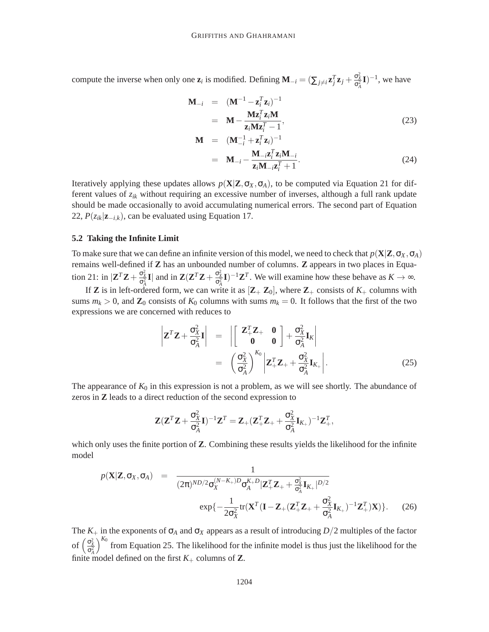compute the inverse when only one  $z_i$  is modified. Defining  $\mathbf{M}_{-i} = (\sum_{j \neq i} z_j^T z_j + \frac{\sigma_X^2}{\sigma_A^2} \mathbf{I})^{-1}$ , we have

$$
\mathbf{M}_{-i} = (\mathbf{M}^{-1} - \mathbf{z}_i^T \mathbf{z}_i)^{-1}
$$
  
=  $\mathbf{M} - \frac{\mathbf{M} \mathbf{z}_i^T \mathbf{z}_i \mathbf{M}}{\mathbf{z}_i^T \mathbf{M} \mathbf{z}_i^T - 1}$ , (23)

$$
\mathbf{M} = (\mathbf{M}_{-i}^{-1} + \mathbf{z}_i^T \mathbf{z}_i)^{-1}
$$
  
= 
$$
\mathbf{M}_{-i} - \frac{\mathbf{M}_{-i} \mathbf{z}_i^T \mathbf{z}_i \mathbf{M}_{-i}}{\mathbf{z}_i \mathbf{M}_{-i} \mathbf{z}_i^T + 1}.
$$
 (24)

Iteratively applying these updates allows  $p(X|Z, \sigma_X, \sigma_A)$ , to be computed via Equation 21 for different values of *zik* without requiring an excessive number of inverses, although a full rank update should be made occasionally to avoid accumulating numerical errors. The second part of Equation 22,  $P(z_{ik}|\mathbf{z}_{-i,k})$ , can be evaluated using Equation 17.

#### **5.2 Taking the Infinite Limit**

To make sure that we can define an infinite version of this model, we need to check that  $p(X|Z, \sigma_X, \sigma_A)$ remains well-defined if **Z** has an unbounded number of columns. **Z** appears in two places in Equation 21: in  $|\mathbf{Z}^T\mathbf{Z} + \frac{\sigma_X^2}{\sigma_A^2}\mathbf{I}|$  and in  $\mathbf{Z}(\mathbf{Z}^T\mathbf{Z} + \frac{\sigma_X^2}{\sigma_A^2}\mathbf{I})^{-1}\mathbf{Z}^T$ . We will examine how these behave as  $K \to \infty$ .

If **Z** is in left-ordered form, we can write it as  $[\mathbf{Z}_+ \ \mathbf{Z}_0]$ , where  $\mathbf{Z}_+$  consists of  $K_+$  columns with sums  $m_k > 0$ , and  $\mathbb{Z}_0$  consists of  $K_0$  columns with sums  $m_k = 0$ . It follows that the first of the two expressions we are concerned with reduces to

$$
\left| \mathbf{Z}^T \mathbf{Z} + \frac{\sigma_X^2}{\sigma_A^2} \mathbf{I} \right| = \left| \begin{bmatrix} \mathbf{Z}_+^T \mathbf{Z}_+ & \mathbf{0} \\ \mathbf{0} & \mathbf{0} \end{bmatrix} + \frac{\sigma_X^2}{\sigma_A^2} \mathbf{I}_K \right|
$$
  

$$
= \left( \frac{\sigma_X^2}{\sigma_A^2} \right)^{K_0} \left| \mathbf{Z}_+^T \mathbf{Z}_+ + \frac{\sigma_X^2}{\sigma_A^2} \mathbf{I}_{K_+} \right|.
$$
 (25)

The appearance of  $K_0$  in this expression is not a problem, as we will see shortly. The abundance of zeros in **Z** leads to a direct reduction of the second expression to

$$
\mathbf{Z}(\mathbf{Z}^T\mathbf{Z}+\frac{\sigma_X^2}{\sigma_A^2}\mathbf{I})^{-1}\mathbf{Z}^T=\mathbf{Z}_+(\mathbf{Z}_+^T\mathbf{Z}_++\frac{\sigma_X^2}{\sigma_A^2}\mathbf{I}_{K_+})^{-1}\mathbf{Z}_+^T,
$$

which only uses the finite portion of **Z**. Combining these results yields the likelihood for the infinite model

$$
p(\mathbf{X}|\mathbf{Z}, \sigma_X, \sigma_A) = \frac{1}{(2\pi)^{ND/2} \sigma_X^{(N-K+D)} \sigma_A^{K+D} |\mathbf{Z}_+^T \mathbf{Z}_+ + \frac{\sigma_X^2}{\sigma_A^2} \mathbf{I}_{K+}|^{D/2}}
$$
  
\n
$$
\exp\{-\frac{1}{2\sigma_X^2} tr(\mathbf{X}^T (\mathbf{I} - \mathbf{Z}_+ (\mathbf{Z}_+^T \mathbf{Z}_+ + \frac{\sigma_X^2}{\sigma_A^2} \mathbf{I}_{K+})^{-1} \mathbf{Z}_+^T)\mathbf{X})\}.
$$
 (26)

The  $K_{+}$  in the exponents of  $\sigma_A$  and  $\sigma_X$  appears as a result of introducing  $D/2$  multiples of the factor of  $\left(\frac{\sigma_X^2}{\sigma_A^2}\right)^{K_0}$  from Equation 25. The likelihood for the infinite model is thus just the likelihood for the finite model defined on the first  $K_+$  columns of **Z**.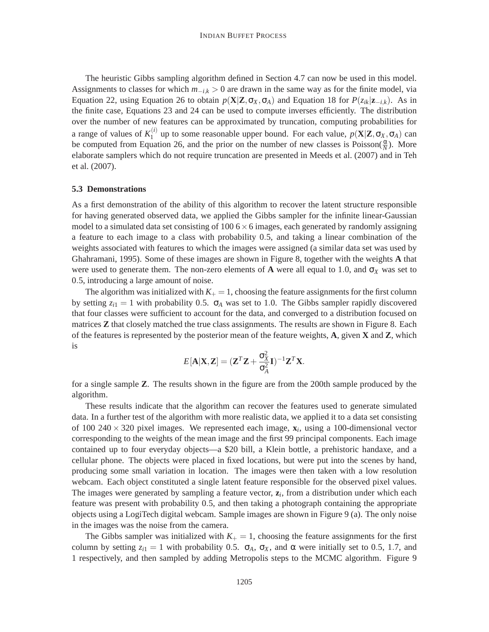The heuristic Gibbs sampling algorithm defined in Section 4.7 can now be used in this model. Assignments to classes for which *m*−*i*,*<sup>k</sup>* > 0 are drawn in the same way as for the finite model, via Equation 22, using Equation 26 to obtain  $p(X|Z, \sigma_X, \sigma_A)$  and Equation 18 for  $P(z_{ik}|z_{-i,k})$ . As in the finite case, Equations 23 and 24 can be used to compute inverses efficiently. The distribution over the number of new features can be approximated by truncation, computing probabilities for a range of values of  $K_1^{(i)}$  $P_1^{(1)}$  up to some reasonable upper bound. For each value,  $p(X|Z, \sigma_X, \sigma_A)$  can be computed from Equation 26, and the prior on the number of new classes is Poisson( $\frac{\alpha}{N}$ ). More elaborate samplers which do not require truncation are presented in Meeds et al. (2007) and in Teh et al. (2007).

## **5.3 Demonstrations**

As a first demonstration of the ability of this algorithm to recover the latent structure responsible for having generated observed data, we applied the Gibbs sampler for the infinite linear-Gaussian model to a simulated data set consisting of  $100.6 \times 6$  images, each generated by randomly assigning a feature to each image to a class with probability 0.5, and taking a linear combination of the weights associated with features to which the images were assigned (a similar data set was used by Ghahramani, 1995). Some of these images are shown in Figure 8, together with the weights **A** that were used to generate them. The non-zero elements of **A** were all equal to 1.0, and  $\sigma_X$  was set to 0.5, introducing a large amount of noise.

The algorithm was initialized with  $K_{+} = 1$ , choosing the feature assignments for the first column by setting  $z_{i1} = 1$  with probability 0.5.  $\sigma_A$  was set to 1.0. The Gibbs sampler rapidly discovered that four classes were sufficient to account for the data, and converged to a distribution focused on matrices **Z** that closely matched the true class assignments. The results are shown in Figure 8. Each of the features is represented by the posterior mean of the feature weights, **A**, given **X** and **Z**, which is

$$
E[\mathbf{A}|\mathbf{X},\mathbf{Z}] = (\mathbf{Z}^T \mathbf{Z} + \frac{\sigma_X^2}{\sigma_A^2} \mathbf{I})^{-1} \mathbf{Z}^T \mathbf{X}.
$$

for a single sample **Z**. The results shown in the figure are from the 200th sample produced by the algorithm.

These results indicate that the algorithm can recover the features used to generate simulated data. In a further test of the algorithm with more realistic data, we applied it to a data set consisting of 100 240  $\times$  320 pixel images. We represented each image,  $\mathbf{x}_i$ , using a 100-dimensional vector corresponding to the weights of the mean image and the first 99 principal components. Each image contained up to four everyday objects—a \$20 bill, a Klein bottle, a prehistoric handaxe, and a cellular phone. The objects were placed in fixed locations, but were put into the scenes by hand, producing some small variation in location. The images were then taken with a low resolution webcam. Each object constituted a single latent feature responsible for the observed pixel values. The images were generated by sampling a feature vector, **z***<sup>i</sup>* , from a distribution under which each feature was present with probability 0.5, and then taking a photograph containing the appropriate objects using a LogiTech digital webcam. Sample images are shown in Figure 9 (a). The only noise in the images was the noise from the camera.

The Gibbs sampler was initialized with  $K_{+} = 1$ , choosing the feature assignments for the first column by setting  $z_{i1} = 1$  with probability 0.5.  $\sigma_A$ ,  $\sigma_X$ , and  $\alpha$  were initially set to 0.5, 1.7, and 1 respectively, and then sampled by adding Metropolis steps to the MCMC algorithm. Figure 9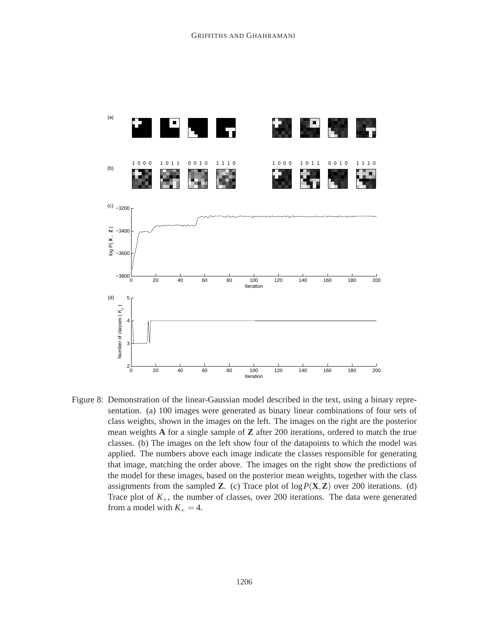

Figure 8: Demonstration of the linear-Gaussian model described in the text, using a binary representation. (a) 100 images were generated as binary linear combinations of four sets of class weights, shown in the images on the left. The images on the right are the posterior mean weights **A** for a single sample of **Z** after 200 iterations, ordered to match the true classes. (b) The images on the left show four of the datapoints to which the model was applied. The numbers above each image indicate the classes responsible for generating that image, matching the order above. The images on the right show the predictions of the model for these images, based on the posterior mean weights, together with the class assignments from the sampled **Z**. (c) Trace plot of  $\log P(X, Z)$  over 200 iterations. (d) Trace plot of  $K_{+}$ , the number of classes, over 200 iterations. The data were generated from a model with  $K_{+} = 4$ .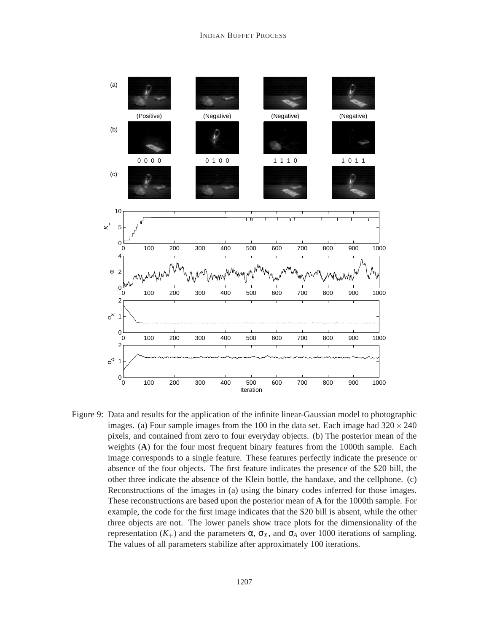

Figure 9: Data and results for the application of the infinite linear-Gaussian model to photographic images. (a) Four sample images from the 100 in the data set. Each image had  $320 \times 240$ pixels, and contained from zero to four everyday objects. (b) The posterior mean of the weights (**A**) for the four most frequent binary features from the 1000th sample. Each image corresponds to a single feature. These features perfectly indicate the presence or absence of the four objects. The first feature indicates the presence of the \$20 bill, the other three indicate the absence of the Klein bottle, the handaxe, and the cellphone. (c) Reconstructions of the images in (a) using the binary codes inferred for those images. These reconstructions are based upon the posterior mean of **A** for the 1000th sample. For example, the code for the first image indicates that the \$20 bill is absent, while the other three objects are not. The lower panels show trace plots for the dimensionality of the representation ( $K_+$ ) and the parameters α,  $\sigma_X$ , and  $\sigma_A$  over 1000 iterations of sampling. The values of all parameters stabilize after approximately 100 iterations.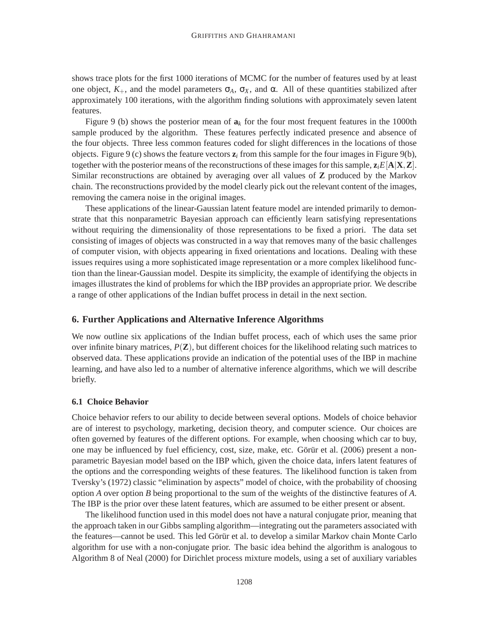shows trace plots for the first 1000 iterations of MCMC for the number of features used by at least one object,  $K_{+}$ , and the model parameters  $\sigma_A$ ,  $\sigma_X$ , and α. All of these quantities stabilized after approximately 100 iterations, with the algorithm finding solutions with approximately seven latent features.

Figure 9 (b) shows the posterior mean of  $a_k$  for the four most frequent features in the 1000th sample produced by the algorithm. These features perfectly indicated presence and absence of the four objects. Three less common features coded for slight differences in the locations of those objects. Figure 9 (c) shows the feature vectors **z***<sup>i</sup>* from this sample for the four images in Figure 9(b), together with the posterior means of the reconstructions of these images for this sample,  $\mathbf{z}_i E[\mathbf{A}|\mathbf{X}, \mathbf{Z}]$ . Similar reconstructions are obtained by averaging over all values of **Z** produced by the Markov chain. The reconstructions provided by the model clearly pick out the relevant content of the images, removing the camera noise in the original images.

These applications of the linear-Gaussian latent feature model are intended primarily to demonstrate that this nonparametric Bayesian approach can efficiently learn satisfying representations without requiring the dimensionality of those representations to be fixed a priori. The data set consisting of images of objects was constructed in a way that removes many of the basic challenges of computer vision, with objects appearing in fixed orientations and locations. Dealing with these issues requires using a more sophisticated image representation or a more complex likelihood function than the linear-Gaussian model. Despite its simplicity, the example of identifying the objects in images illustrates the kind of problems for which the IBP provides an appropriate prior. We describe a range of other applications of the Indian buffet process in detail in the next section.

## **6. Further Applications and Alternative Inference Algorithms**

We now outline six applications of the Indian buffet process, each of which uses the same prior over infinite binary matrices,  $P(\mathbf{Z})$ , but different choices for the likelihood relating such matrices to observed data. These applications provide an indication of the potential uses of the IBP in machine learning, and have also led to a number of alternative inference algorithms, which we will describe briefly.

#### **6.1 Choice Behavior**

Choice behavior refers to our ability to decide between several options. Models of choice behavior are of interest to psychology, marketing, decision theory, and computer science. Our choices are often governed by features of the different options. For example, when choosing which car to buy, one may be influenced by fuel efficiency, cost, size, make, etc. Görür et al. (2006) present a nonparametric Bayesian model based on the IBP which, given the choice data, infers latent features of the options and the corresponding weights of these features. The likelihood function is taken from Tversky's (1972) classic "elimination by aspects" model of choice, with the probability of choosing option *A* over option *B* being proportional to the sum of the weights of the distinctive features of *A*. The IBP is the prior over these latent features, which are assumed to be either present or absent.

The likelihood function used in this model does not have a natural conjugate prior, meaning that the approach taken in our Gibbs sampling algorithm—integrating out the parameters associated with the features—cannot be used. This led Görür et al. to develop a similar Markov chain Monte Carlo algorithm for use with a non-conjugate prior. The basic idea behind the algorithm is analogous to Algorithm 8 of Neal (2000) for Dirichlet process mixture models, using a set of auxiliary variables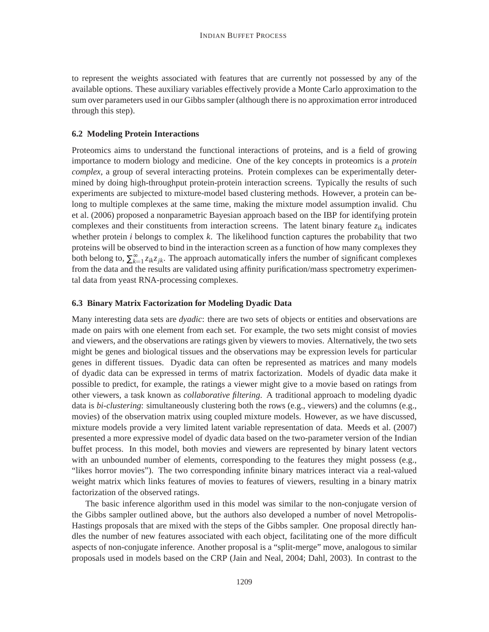to represent the weights associated with features that are currently not possessed by any of the available options. These auxiliary variables effectively provide a Monte Carlo approximation to the sum over parameters used in our Gibbs sampler (although there is no approximation error introduced through this step).

## **6.2 Modeling Protein Interactions**

Proteomics aims to understand the functional interactions of proteins, and is a field of growing importance to modern biology and medicine. One of the key concepts in proteomics is a *protein complex*, a group of several interacting proteins. Protein complexes can be experimentally determined by doing high-throughput protein-protein interaction screens. Typically the results of such experiments are subjected to mixture-model based clustering methods. However, a protein can belong to multiple complexes at the same time, making the mixture model assumption invalid. Chu et al. (2006) proposed a nonparametric Bayesian approach based on the IBP for identifying protein complexes and their constituents from interaction screens. The latent binary feature  $z_{ik}$  indicates whether protein *i* belongs to complex *k*. The likelihood function captures the probability that two proteins will be observed to bind in the interaction screen as a function of how many complexes they both belong to,  $\sum_{k=1}^{\infty} z_{ik}z_{jk}$ . The approach automatically infers the number of significant complexes from the data and the results are validated using affinity purification/mass spectrometry experimental data from yeast RNA-processing complexes.

## **6.3 Binary Matrix Factorization for Modeling Dyadic Data**

Many interesting data sets are *dyadic*: there are two sets of objects or entities and observations are made on pairs with one element from each set. For example, the two sets might consist of movies and viewers, and the observations are ratings given by viewers to movies. Alternatively, the two sets might be genes and biological tissues and the observations may be expression levels for particular genes in different tissues. Dyadic data can often be represented as matrices and many models of dyadic data can be expressed in terms of matrix factorization. Models of dyadic data make it possible to predict, for example, the ratings a viewer might give to a movie based on ratings from other viewers, a task known as *collaborative filtering*. A traditional approach to modeling dyadic data is *bi-clustering*: simultaneously clustering both the rows (e.g., viewers) and the columns (e.g., movies) of the observation matrix using coupled mixture models. However, as we have discussed, mixture models provide a very limited latent variable representation of data. Meeds et al. (2007) presented a more expressive model of dyadic data based on the two-parameter version of the Indian buffet process. In this model, both movies and viewers are represented by binary latent vectors with an unbounded number of elements, corresponding to the features they might possess (e.g., "likes horror movies"). The two corresponding infinite binary matrices interact via a real-valued weight matrix which links features of movies to features of viewers, resulting in a binary matrix factorization of the observed ratings.

The basic inference algorithm used in this model was similar to the non-conjugate version of the Gibbs sampler outlined above, but the authors also developed a number of novel Metropolis-Hastings proposals that are mixed with the steps of the Gibbs sampler. One proposal directly handles the number of new features associated with each object, facilitating one of the more difficult aspects of non-conjugate inference. Another proposal is a "split-merge" move, analogous to similar proposals used in models based on the CRP (Jain and Neal, 2004; Dahl, 2003). In contrast to the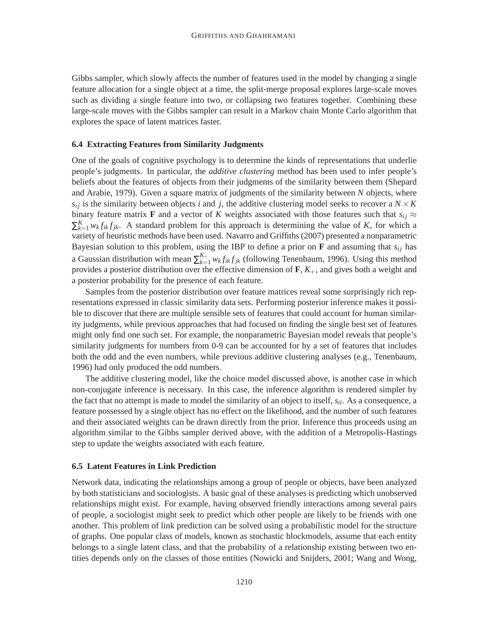Gibbs sampler, which slowly affects the number of features used in the model by changing a single feature allocation for a single object at a time, the split-merge proposal explores large-scale moves such as dividing a single feature into two, or collapsing two features together. Combining these large-scale moves with the Gibbs sampler can result in a Markov chain Monte Carlo algorithm that explores the space of latent matrices faster.

## **6.4 Extracting Features from Similarity Judgments**

One of the goals of cognitive psychology is to determine the kinds of representations that underlie people's judgments. In particular, the *additive clustering* method has been used to infer people's beliefs about the features of objects from their judgments of the similarity between them (Shepard and Arabie, 1979). Given a square matrix of judgments of the similarity between *N* objects, where  $s_{ij}$  is the similarity between objects *i* and *j*, the additive clustering model seeks to recover a  $N \times K$ binary feature matrix **F** and a vector of *K* weights associated with those features such that  $s_{ij} \approx$  $\sum_{k=1}^{K} w_k f_{ik} f_{jk}$ . A standard problem for this approach is determining the value of *K*, for which a variety of heuristic methods have been used. Navarro and Griffiths (2007) presented a nonparametric Bayesian solution to this problem, using the IBP to define a prior on  $\bf{F}$  and assuming that  $s_{ij}$  has a Gaussian distribution with mean  $\sum_{k=1}^{K_+} w_k f_{ik} f_{jk}$  (following Tenenbaum, 1996). Using this method provides a posterior distribution over the effective dimension of **F**, *K*+, and gives both a weight and a posterior probability for the presence of each feature.

Samples from the posterior distribution over feature matrices reveal some surprisingly rich representations expressed in classic similarity data sets. Performing posterior inference makes it possible to discover that there are multiple sensible sets of features that could account for human similarity judgments, while previous approaches that had focused on finding the single best set of features might only find one such set. For example, the nonparametric Bayesian model reveals that people's similarity judgments for numbers from 0-9 can be accounted for by a set of features that includes both the odd and the even numbers, while previous additive clustering analyses (e.g., Tenenbaum, 1996) had only produced the odd numbers.

The additive clustering model, like the choice model discussed above, is another case in which non-conjugate inference is necessary. In this case, the inference algorithm is rendered simpler by the fact that no attempt is made to model the similarity of an object to itself, *sii*. As a consequence, a feature possessed by a single object has no effect on the likelihood, and the number of such features and their associated weights can be drawn directly from the prior. Inference thus proceeds using an algorithm similar to the Gibbs sampler derived above, with the addition of a Metropolis-Hastings step to update the weights associated with each feature.

## **6.5 Latent Features in Link Prediction**

Network data, indicating the relationships among a group of people or objects, have been analyzed by both statisticians and sociologists. A basic goal of these analyses is predicting which unobserved relationships might exist. For example, having observed friendly interactions among several pairs of people, a sociologist might seek to predict which other people are likely to be friends with one another. This problem of link prediction can be solved using a probabilistic model for the structure of graphs. One popular class of models, known as stochastic blockmodels, assume that each entity belongs to a single latent class, and that the probability of a relationship existing between two entities depends only on the classes of those entities (Nowicki and Snijders, 2001; Wang and Wong,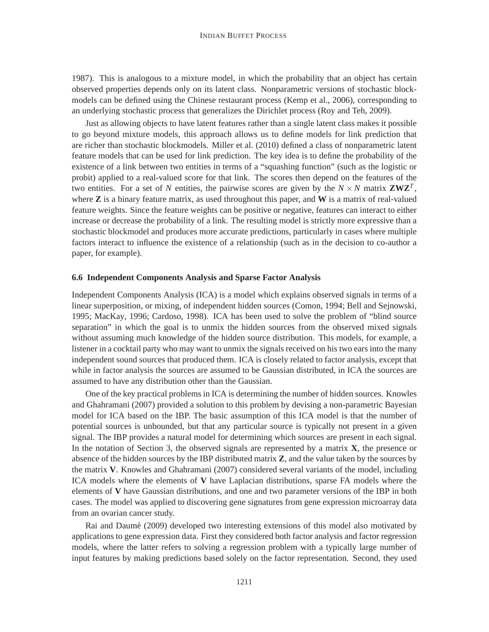1987). This is analogous to a mixture model, in which the probability that an object has certain observed properties depends only on its latent class. Nonparametric versions of stochastic blockmodels can be defined using the Chinese restaurant process (Kemp et al., 2006), corresponding to an underlying stochastic process that generalizes the Dirichlet process (Roy and Teh, 2009).

Just as allowing objects to have latent features rather than a single latent class makes it possible to go beyond mixture models, this approach allows us to define models for link prediction that are richer than stochastic blockmodels. Miller et al. (2010) defined a class of nonparametric latent feature models that can be used for link prediction. The key idea is to define the probability of the existence of a link between two entities in terms of a "squashing function" (such as the logistic or probit) applied to a real-valued score for that link. The scores then depend on the features of the two entities. For a set of *N* entities, the pairwise scores are given by the  $N \times N$  matrix  $\mathbf{ZWZ}^T$ , where **Z** is a binary feature matrix, as used throughout this paper, and **W** is a matrix of real-valued feature weights. Since the feature weights can be positive or negative, features can interact to either increase or decrease the probability of a link. The resulting model is strictly more expressive than a stochastic blockmodel and produces more accurate predictions, particularly in cases where multiple factors interact to influence the existence of a relationship (such as in the decision to co-author a paper, for example).

#### **6.6 Independent Components Analysis and Sparse Factor Analysis**

Independent Components Analysis (ICA) is a model which explains observed signals in terms of a linear superposition, or mixing, of independent hidden sources (Comon, 1994; Bell and Sejnowski, 1995; MacKay, 1996; Cardoso, 1998). ICA has been used to solve the problem of "blind source separation" in which the goal is to unmix the hidden sources from the observed mixed signals without assuming much knowledge of the hidden source distribution. This models, for example, a listener in a cocktail party who may want to unmix the signals received on his two ears into the many independent sound sources that produced them. ICA is closely related to factor analysis, except that while in factor analysis the sources are assumed to be Gaussian distributed, in ICA the sources are assumed to have any distribution other than the Gaussian.

One of the key practical problems in ICA is determining the number of hidden sources. Knowles and Ghahramani (2007) provided a solution to this problem by devising a non-parametric Bayesian model for ICA based on the IBP. The basic assumption of this ICA model is that the number of potential sources is unbounded, but that any particular source is typically not present in a given signal. The IBP provides a natural model for determining which sources are present in each signal. In the notation of Section 3, the observed signals are represented by a matrix **X**, the presence or absence of the hidden sources by the IBP distributed matrix **Z**, and the value taken by the sources by the matrix **V**. Knowles and Ghahramani (2007) considered several variants of the model, including ICA models where the elements of **V** have Laplacian distributions, sparse FA models where the elements of **V** have Gaussian distributions, and one and two parameter versions of the IBP in both cases. The model was applied to discovering gene signatures from gene expression microarray data from an ovarian cancer study.

Rai and Daume (2009) developed two interesting extensions of this model also motivated by ´ applications to gene expression data. First they considered both factor analysis and factor regression models, where the latter refers to solving a regression problem with a typically large number of input features by making predictions based solely on the factor representation. Second, they used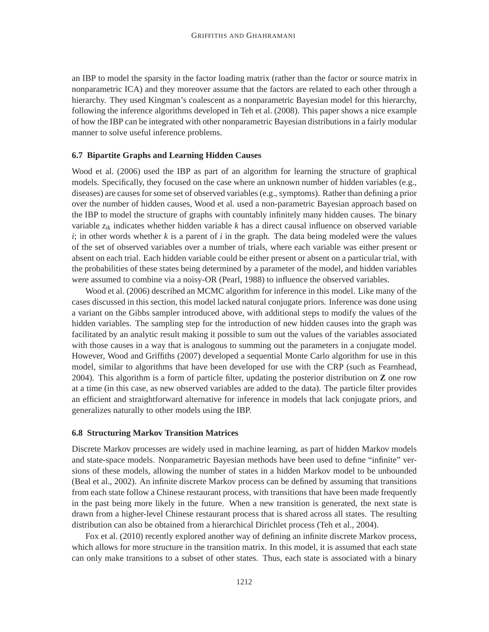an IBP to model the sparsity in the factor loading matrix (rather than the factor or source matrix in nonparametric ICA) and they moreover assume that the factors are related to each other through a hierarchy. They used Kingman's coalescent as a nonparametric Bayesian model for this hierarchy, following the inference algorithms developed in Teh et al. (2008). This paper shows a nice example of how the IBP can be integrated with other nonparametric Bayesian distributions in a fairly modular manner to solve useful inference problems.

#### **6.7 Bipartite Graphs and Learning Hidden Causes**

Wood et al. (2006) used the IBP as part of an algorithm for learning the structure of graphical models. Specifically, they focused on the case where an unknown number of hidden variables (e.g., diseases) are causes for some set of observed variables (e.g., symptoms). Rather than defining a prior over the number of hidden causes, Wood et al. used a non-parametric Bayesian approach based on the IBP to model the structure of graphs with countably infinitely many hidden causes. The binary variable *zik* indicates whether hidden variable *k* has a direct causal influence on observed variable  $i$ ; in other words whether  $k$  is a parent of  $i$  in the graph. The data being modeled were the values of the set of observed variables over a number of trials, where each variable was either present or absent on each trial. Each hidden variable could be either present or absent on a particular trial, with the probabilities of these states being determined by a parameter of the model, and hidden variables were assumed to combine via a noisy-OR (Pearl, 1988) to influence the observed variables.

Wood et al. (2006) described an MCMC algorithm for inference in this model. Like many of the cases discussed in this section, this model lacked natural conjugate priors. Inference was done using a variant on the Gibbs sampler introduced above, with additional steps to modify the values of the hidden variables. The sampling step for the introduction of new hidden causes into the graph was facilitated by an analytic result making it possible to sum out the values of the variables associated with those causes in a way that is analogous to summing out the parameters in a conjugate model. However, Wood and Griffiths (2007) developed a sequential Monte Carlo algorithm for use in this model, similar to algorithms that have been developed for use with the CRP (such as Fearnhead, 2004). This algorithm is a form of particle filter, updating the posterior distribution on **Z** one row at a time (in this case, as new observed variables are added to the data). The particle filter provides an efficient and straightforward alternative for inference in models that lack conjugate priors, and generalizes naturally to other models using the IBP.

#### **6.8 Structuring Markov Transition Matrices**

Discrete Markov processes are widely used in machine learning, as part of hidden Markov models and state-space models. Nonparametric Bayesian methods have been used to define "infinite" versions of these models, allowing the number of states in a hidden Markov model to be unbounded (Beal et al., 2002). An infinite discrete Markov process can be defined by assuming that transitions from each state follow a Chinese restaurant process, with transitions that have been made frequently in the past being more likely in the future. When a new transition is generated, the next state is drawn from a higher-level Chinese restaurant process that is shared across all states. The resulting distribution can also be obtained from a hierarchical Dirichlet process (Teh et al., 2004).

Fox et al. (2010) recently explored another way of defining an infinite discrete Markov process, which allows for more structure in the transition matrix. In this model, it is assumed that each state can only make transitions to a subset of other states. Thus, each state is associated with a binary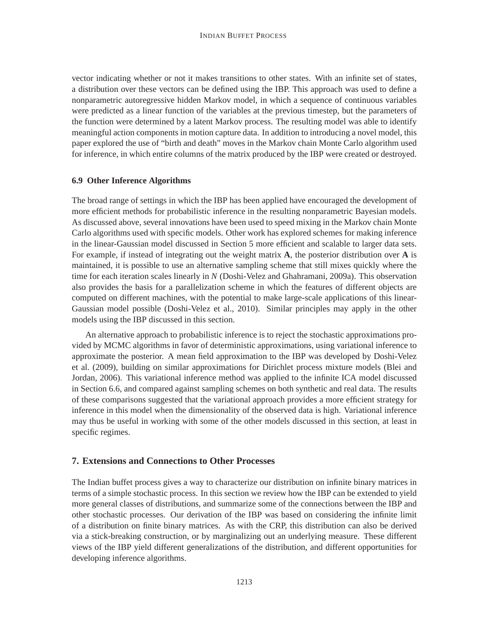vector indicating whether or not it makes transitions to other states. With an infinite set of states, a distribution over these vectors can be defined using the IBP. This approach was used to define a nonparametric autoregressive hidden Markov model, in which a sequence of continuous variables were predicted as a linear function of the variables at the previous timestep, but the parameters of the function were determined by a latent Markov process. The resulting model was able to identify meaningful action components in motion capture data. In addition to introducing a novel model, this paper explored the use of "birth and death" moves in the Markov chain Monte Carlo algorithm used for inference, in which entire columns of the matrix produced by the IBP were created or destroyed.

## **6.9 Other Inference Algorithms**

The broad range of settings in which the IBP has been applied have encouraged the development of more efficient methods for probabilistic inference in the resulting nonparametric Bayesian models. As discussed above, several innovations have been used to speed mixing in the Markov chain Monte Carlo algorithms used with specific models. Other work has explored schemes for making inference in the linear-Gaussian model discussed in Section 5 more efficient and scalable to larger data sets. For example, if instead of integrating out the weight matrix **A**, the posterior distribution over **A** is maintained, it is possible to use an alternative sampling scheme that still mixes quickly where the time for each iteration scales linearly in *N* (Doshi-Velez and Ghahramani, 2009a). This observation also provides the basis for a parallelization scheme in which the features of different objects are computed on different machines, with the potential to make large-scale applications of this linear-Gaussian model possible (Doshi-Velez et al., 2010). Similar principles may apply in the other models using the IBP discussed in this section.

An alternative approach to probabilistic inference is to reject the stochastic approximations provided by MCMC algorithms in favor of deterministic approximations, using variational inference to approximate the posterior. A mean field approximation to the IBP was developed by Doshi-Velez et al. (2009), building on similar approximations for Dirichlet process mixture models (Blei and Jordan, 2006). This variational inference method was applied to the infinite ICA model discussed in Section 6.6, and compared against sampling schemes on both synthetic and real data. The results of these comparisons suggested that the variational approach provides a more efficient strategy for inference in this model when the dimensionality of the observed data is high. Variational inference may thus be useful in working with some of the other models discussed in this section, at least in specific regimes.

## **7. Extensions and Connections to Other Processes**

The Indian buffet process gives a way to characterize our distribution on infinite binary matrices in terms of a simple stochastic process. In this section we review how the IBP can be extended to yield more general classes of distributions, and summarize some of the connections between the IBP and other stochastic processes. Our derivation of the IBP was based on considering the infinite limit of a distribution on finite binary matrices. As with the CRP, this distribution can also be derived via a stick-breaking construction, or by marginalizing out an underlying measure. These different views of the IBP yield different generalizations of the distribution, and different opportunities for developing inference algorithms.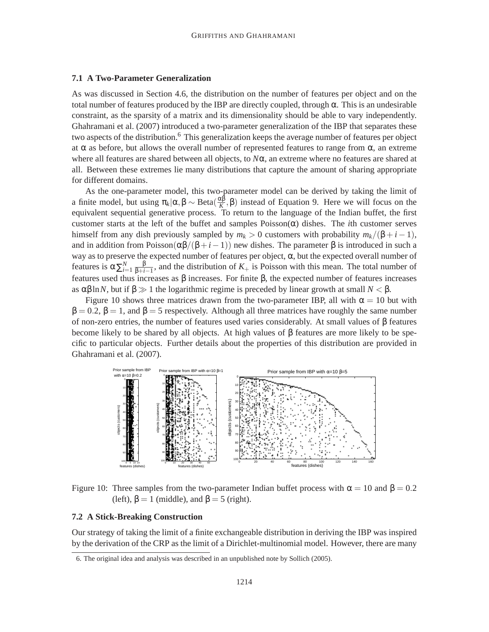#### **7.1 A Two-Parameter Generalization**

As was discussed in Section 4.6, the distribution on the number of features per object and on the total number of features produced by the IBP are directly coupled, through  $\alpha$ . This is an undesirable constraint, as the sparsity of a matrix and its dimensionality should be able to vary independently. Ghahramani et al. (2007) introduced a two-parameter generalization of the IBP that separates these two aspects of the distribution.<sup>6</sup> This generalization keeps the average number of features per object at  $\alpha$  as before, but allows the overall number of represented features to range from  $\alpha$ , an extreme where all features are shared between all objects, to *N*α, an extreme where no features are shared at all. Between these extremes lie many distributions that capture the amount of sharing appropriate for different domains.

As the one-parameter model, this two-parameter model can be derived by taking the limit of a finite model, but using  $\pi_k | \alpha, \beta \sim \text{Beta}(\frac{\alpha \beta}{K})$  $\frac{X_{\text{D}}}{K}$ , β) instead of Equation 9. Here we will focus on the equivalent sequential generative process. To return to the language of the Indian buffet, the first customer starts at the left of the buffet and samples  $Poisson(\alpha)$  dishes. The *i*th customer serves himself from any dish previously sampled by  $m_k > 0$  customers with probability  $m_k/(\beta + i - 1)$ , and in addition from Poisson( $\alpha\beta/(\beta+i-1)$ ) new dishes. The parameter  $\beta$  is introduced in such a way as to preserve the expected number of features per object,  $\alpha$ , but the expected overall number of features is  $\alpha \sum_{i=1}^{N}$ β  $\frac{p}{\beta+i-1}$ , and the distribution of  $K_+$  is Poisson with this mean. The total number of features used thus increases as β increases. For finite β, the expected number of features increases as  $\alpha\beta\ln N$ , but if  $\beta \gg 1$  the logarithmic regime is preceded by linear growth at small  $N < \beta$ .

Figure 10 shows three matrices drawn from the two-parameter IBP, all with  $\alpha = 10$  but with  $\beta = 0.2$ ,  $\beta = 1$ , and  $\beta = 5$  respectively. Although all three matrices have roughly the same number of non-zero entries, the number of features used varies considerably. At small values of β features become likely to be shared by all objects. At high values of  $\beta$  features are more likely to be specific to particular objects. Further details about the properties of this distribution are provided in Ghahramani et al. (2007).



Figure 10: Three samples from the two-parameter Indian buffet process with  $\alpha = 10$  and  $\beta = 0.2$ (left),  $\beta = 1$  (middle), and  $\beta = 5$  (right).

#### **7.2 A Stick-Breaking Construction**

Our strategy of taking the limit of a finite exchangeable distribution in deriving the IBP was inspired by the derivation of the CRP as the limit of a Dirichlet-multinomial model. However, there are many

<sup>6.</sup> The original idea and analysis was described in an unpublished note by Sollich (2005).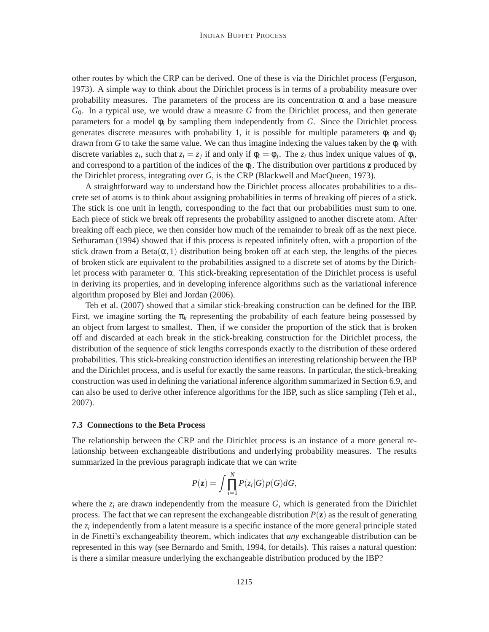#### INDIAN BUFFET PROCESS

other routes by which the CRP can be derived. One of these is via the Dirichlet process (Ferguson, 1973). A simple way to think about the Dirichlet process is in terms of a probability measure over probability measures. The parameters of the process are its concentration  $\alpha$  and a base measure *G*0. In a typical use, we would draw a measure *G* from the Dirichlet process, and then generate parameters for a model  $\phi_i$  by sampling them independently from *G*. Since the Dirichlet process generates discrete measures with probability 1, it is possible for multiple parameters  $\phi_i$  and  $\phi_j$ drawn from *G* to take the same value. We can thus imagine indexing the values taken by the  $\phi_i$  with discrete variables  $z_i$ , such that  $z_i = z_j$  if and only if  $\phi_i = \phi_j$ . The  $z_i$  thus index unique values of  $\phi_i$ , and correspond to a partition of the indices of the  $\phi_i$ . The distribution over partitions **z** produced by the Dirichlet process, integrating over *G*, is the CRP (Blackwell and MacQueen, 1973).

A straightforward way to understand how the Dirichlet process allocates probabilities to a discrete set of atoms is to think about assigning probabilities in terms of breaking off pieces of a stick. The stick is one unit in length, corresponding to the fact that our probabilities must sum to one. Each piece of stick we break off represents the probability assigned to another discrete atom. After breaking off each piece, we then consider how much of the remainder to break off as the next piece. Sethuraman (1994) showed that if this process is repeated infinitely often, with a proportion of the stick drawn from a Beta $(\alpha,1)$  distribution being broken off at each step, the lengths of the pieces of broken stick are equivalent to the probabilities assigned to a discrete set of atoms by the Dirichlet process with parameter α. This stick-breaking representation of the Dirichlet process is useful in deriving its properties, and in developing inference algorithms such as the variational inference algorithm proposed by Blei and Jordan (2006).

Teh et al. (2007) showed that a similar stick-breaking construction can be defined for the IBP. First, we imagine sorting the  $\pi_k$  representing the probability of each feature being possessed by an object from largest to smallest. Then, if we consider the proportion of the stick that is broken off and discarded at each break in the stick-breaking construction for the Dirichlet process, the distribution of the sequence of stick lengths corresponds exactly to the distribution of these ordered probabilities. This stick-breaking construction identifies an interesting relationship between the IBP and the Dirichlet process, and is useful for exactly the same reasons. In particular, the stick-breaking construction was used in defining the variational inference algorithm summarized in Section 6.9, and can also be used to derive other inference algorithms for the IBP, such as slice sampling (Teh et al., 2007).

#### **7.3 Connections to the Beta Process**

The relationship between the CRP and the Dirichlet process is an instance of a more general relationship between exchangeable distributions and underlying probability measures. The results summarized in the previous paragraph indicate that we can write

$$
P(\mathbf{z}) = \int \prod_{i=1}^{N} P(z_i|G) p(G) dG,
$$

where the  $z_i$  are drawn independently from the measure  $G$ , which is generated from the Dirichlet process. The fact that we can represent the exchangeable distribution  $P(\mathbf{z})$  as the result of generating the *z<sup>i</sup>* independently from a latent measure is a specific instance of the more general principle stated in de Finetti's exchangeability theorem, which indicates that *any* exchangeable distribution can be represented in this way (see Bernardo and Smith, 1994, for details). This raises a natural question: is there a similar measure underlying the exchangeable distribution produced by the IBP?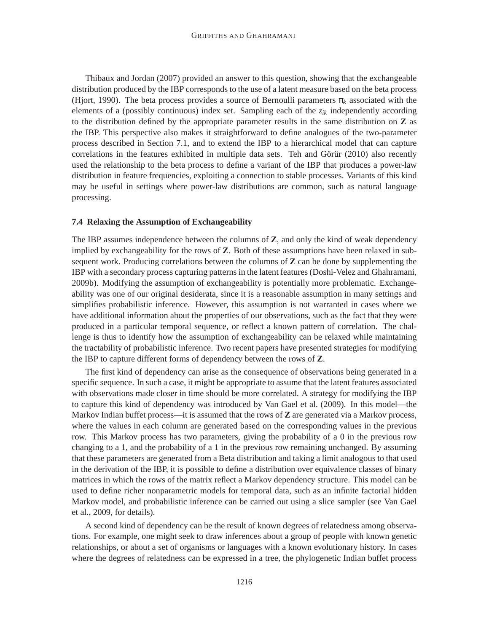Thibaux and Jordan (2007) provided an answer to this question, showing that the exchangeable distribution produced by the IBP corresponds to the use of a latent measure based on the beta process (Hjort, 1990). The beta process provides a source of Bernoulli parameters  $\pi_k$  associated with the elements of a (possibly continuous) index set. Sampling each of the  $z_{ik}$  independently according to the distribution defined by the appropriate parameter results in the same distribution on **Z** as the IBP. This perspective also makes it straightforward to define analogues of the two-parameter process described in Section 7.1, and to extend the IBP to a hierarchical model that can capture correlations in the features exhibited in multiple data sets. Teh and Görür  $(2010)$  also recently used the relationship to the beta process to define a variant of the IBP that produces a power-law distribution in feature frequencies, exploiting a connection to stable processes. Variants of this kind may be useful in settings where power-law distributions are common, such as natural language processing.

## **7.4 Relaxing the Assumption of Exchangeability**

The IBP assumes independence between the columns of **Z**, and only the kind of weak dependency implied by exchangeability for the rows of **Z**. Both of these assumptions have been relaxed in subsequent work. Producing correlations between the columns of **Z** can be done by supplementing the IBP with a secondary process capturing patterns in the latent features (Doshi-Velez and Ghahramani, 2009b). Modifying the assumption of exchangeability is potentially more problematic. Exchangeability was one of our original desiderata, since it is a reasonable assumption in many settings and simplifies probabilistic inference. However, this assumption is not warranted in cases where we have additional information about the properties of our observations, such as the fact that they were produced in a particular temporal sequence, or reflect a known pattern of correlation. The challenge is thus to identify how the assumption of exchangeability can be relaxed while maintaining the tractability of probabilistic inference. Two recent papers have presented strategies for modifying the IBP to capture different forms of dependency between the rows of **Z**.

The first kind of dependency can arise as the consequence of observations being generated in a specific sequence. In such a case, it might be appropriate to assume that the latent features associated with observations made closer in time should be more correlated. A strategy for modifying the IBP to capture this kind of dependency was introduced by Van Gael et al. (2009). In this model—the Markov Indian buffet process—it is assumed that the rows of **Z** are generated via a Markov process, where the values in each column are generated based on the corresponding values in the previous row. This Markov process has two parameters, giving the probability of a 0 in the previous row changing to a 1, and the probability of a 1 in the previous row remaining unchanged. By assuming that these parameters are generated from a Beta distribution and taking a limit analogous to that used in the derivation of the IBP, it is possible to define a distribution over equivalence classes of binary matrices in which the rows of the matrix reflect a Markov dependency structure. This model can be used to define richer nonparametric models for temporal data, such as an infinite factorial hidden Markov model, and probabilistic inference can be carried out using a slice sampler (see Van Gael et al., 2009, for details).

A second kind of dependency can be the result of known degrees of relatedness among observations. For example, one might seek to draw inferences about a group of people with known genetic relationships, or about a set of organisms or languages with a known evolutionary history. In cases where the degrees of relatedness can be expressed in a tree, the phylogenetic Indian buffet process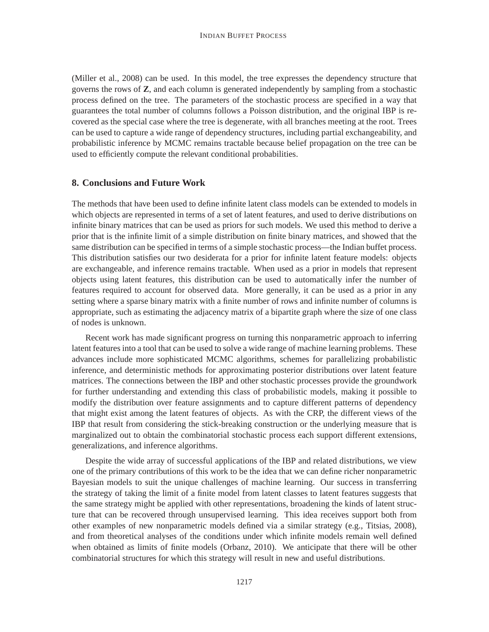(Miller et al., 2008) can be used. In this model, the tree expresses the dependency structure that governs the rows of **Z**, and each column is generated independently by sampling from a stochastic process defined on the tree. The parameters of the stochastic process are specified in a way that guarantees the total number of columns follows a Poisson distribution, and the original IBP is recovered as the special case where the tree is degenerate, with all branches meeting at the root. Trees can be used to capture a wide range of dependency structures, including partial exchangeability, and probabilistic inference by MCMC remains tractable because belief propagation on the tree can be used to efficiently compute the relevant conditional probabilities.

#### **8. Conclusions and Future Work**

The methods that have been used to define infinite latent class models can be extended to models in which objects are represented in terms of a set of latent features, and used to derive distributions on infinite binary matrices that can be used as priors for such models. We used this method to derive a prior that is the infinite limit of a simple distribution on finite binary matrices, and showed that the same distribution can be specified in terms of a simple stochastic process—the Indian buffet process. This distribution satisfies our two desiderata for a prior for infinite latent feature models: objects are exchangeable, and inference remains tractable. When used as a prior in models that represent objects using latent features, this distribution can be used to automatically infer the number of features required to account for observed data. More generally, it can be used as a prior in any setting where a sparse binary matrix with a finite number of rows and infinite number of columns is appropriate, such as estimating the adjacency matrix of a bipartite graph where the size of one class of nodes is unknown.

Recent work has made significant progress on turning this nonparametric approach to inferring latent features into a tool that can be used to solve a wide range of machine learning problems. These advances include more sophisticated MCMC algorithms, schemes for parallelizing probabilistic inference, and deterministic methods for approximating posterior distributions over latent feature matrices. The connections between the IBP and other stochastic processes provide the groundwork for further understanding and extending this class of probabilistic models, making it possible to modify the distribution over feature assignments and to capture different patterns of dependency that might exist among the latent features of objects. As with the CRP, the different views of the IBP that result from considering the stick-breaking construction or the underlying measure that is marginalized out to obtain the combinatorial stochastic process each support different extensions, generalizations, and inference algorithms.

Despite the wide array of successful applications of the IBP and related distributions, we view one of the primary contributions of this work to be the idea that we can define richer nonparametric Bayesian models to suit the unique challenges of machine learning. Our success in transferring the strategy of taking the limit of a finite model from latent classes to latent features suggests that the same strategy might be applied with other representations, broadening the kinds of latent structure that can be recovered through unsupervised learning. This idea receives support both from other examples of new nonparametric models defined via a similar strategy (e.g., Titsias, 2008), and from theoretical analyses of the conditions under which infinite models remain well defined when obtained as limits of finite models (Orbanz, 2010). We anticipate that there will be other combinatorial structures for which this strategy will result in new and useful distributions.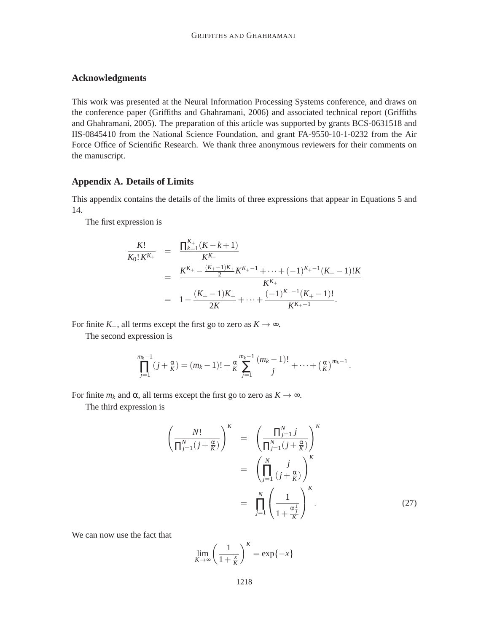# **Acknowledgments**

This work was presented at the Neural Information Processing Systems conference, and draws on the conference paper (Griffiths and Ghahramani, 2006) and associated technical report (Griffiths and Ghahramani, 2005). The preparation of this article was supported by grants BCS-0631518 and IIS-0845410 from the National Science Foundation, and grant FA-9550-10-1-0232 from the Air Force Office of Scientific Research. We thank three anonymous reviewers for their comments on the manuscript.

# **Appendix A. Details of Limits**

This appendix contains the details of the limits of three expressions that appear in Equations 5 and 14.

The first expression is

$$
\frac{K!}{K_0!K^{K_+}} = \frac{\prod_{k=1}^{K_+}(K-k+1)}{K^{K_+}} \\
= \frac{K^{K_+} - \frac{(K_+ - 1)K_+}{2}K^{K_+ - 1} + \dots + (-1)^{K_+ - 1}(K_+ - 1)!K^+}{K^{K_+}} \\
= 1 - \frac{(K_+ - 1)K_+}{2K} + \dots + \frac{(-1)^{K_+ - 1}(K_+ - 1)!}{K^{K_+ - 1}}.
$$

For finite  $K_+$ , all terms except the first go to zero as  $K \to \infty$ .

The second expression is

$$
\prod_{j=1}^{m_k-1} (j+\frac{\alpha}{K}) = (m_k-1)! + \frac{\alpha}{K} \sum_{j=1}^{m_k-1} \frac{(m_k-1)!}{j} + \cdots + \left(\frac{\alpha}{K}\right)^{m_k-1}.
$$

For finite  $m_k$  and  $\alpha$ , all terms except the first go to zero as  $K \to \infty$ .

The third expression is

$$
\left(\frac{N!}{\prod_{j=1}^{N}(j+\frac{\alpha}{K})}\right)^{K} = \left(\frac{\prod_{j=1}^{N}j}{\prod_{j=1}^{N}(j+\frac{\alpha}{K})}\right)^{K}
$$
\n
$$
= \left(\prod_{j=1}^{N}\frac{j}{(j+\frac{\alpha}{K})}\right)^{K}
$$
\n
$$
= \prod_{j=1}^{N}\left(\frac{1}{1+\frac{\alpha\frac{1}{j}}{K}}\right)^{K}.
$$
\n(27)

We can now use the fact that

$$
\lim_{K \to \infty} \left( \frac{1}{1 + \frac{x}{K}} \right)^K = \exp\{-x\}
$$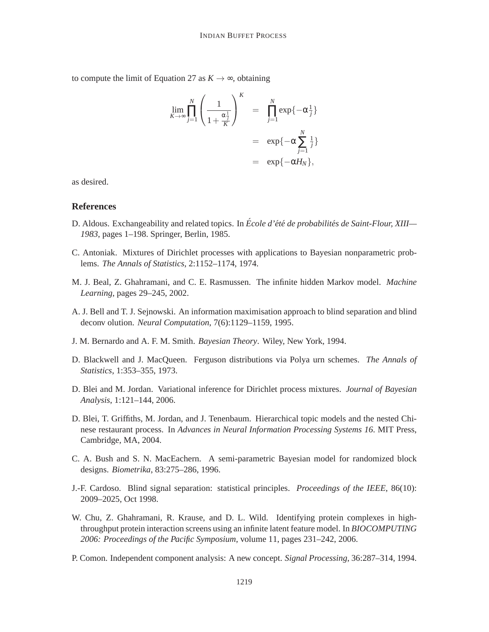to compute the limit of Equation 27 as  $K \rightarrow \infty$ , obtaining

$$
\lim_{K \to \infty} \prod_{j=1}^{N} \left( \frac{1}{1 + \frac{\alpha^1}{K}} \right)^K = \prod_{j=1}^{N} \exp\{-\alpha^1_{\overline{j}}\}
$$
\n
$$
= \exp\{-\alpha \sum_{j=1}^{N} \frac{1}{j}\}
$$
\n
$$
= \exp\{-\alpha H_N\},
$$

as desired.

#### **References**

- D. Aldous. Exchangeability and related topics. In *École d'été de probabilités de Saint-Flour, XIII— 1983*, pages 1–198. Springer, Berlin, 1985.
- C. Antoniak. Mixtures of Dirichlet processes with applications to Bayesian nonparametric problems. *The Annals of Statistics*, 2:1152–1174, 1974.
- M. J. Beal, Z. Ghahramani, and C. E. Rasmussen. The infinite hidden Markov model. *Machine Learning*, pages 29–245, 2002.
- A. J. Bell and T. J. Sejnowski. An information maximisation approach to blind separation and blind deconv olution. *Neural Computation*, 7(6):1129–1159, 1995.
- J. M. Bernardo and A. F. M. Smith. *Bayesian Theory*. Wiley, New York, 1994.
- D. Blackwell and J. MacQueen. Ferguson distributions via Polya urn schemes. *The Annals of Statistics*, 1:353–355, 1973.
- D. Blei and M. Jordan. Variational inference for Dirichlet process mixtures. *Journal of Bayesian Analysis*, 1:121–144, 2006.
- D. Blei, T. Griffiths, M. Jordan, and J. Tenenbaum. Hierarchical topic models and the nested Chinese restaurant process. In *Advances in Neural Information Processing Systems 16*. MIT Press, Cambridge, MA, 2004.
- C. A. Bush and S. N. MacEachern. A semi-parametric Bayesian model for randomized block designs. *Biometrika*, 83:275–286, 1996.
- J.-F. Cardoso. Blind signal separation: statistical principles. *Proceedings of the IEEE*, 86(10): 2009–2025, Oct 1998.
- W. Chu, Z. Ghahramani, R. Krause, and D. L. Wild. Identifying protein complexes in highthroughput protein interaction screens using an infinite latent feature model. In *BIOCOMPUTING 2006: Proceedings of the Pacific Symposium*, volume 11, pages 231–242, 2006.
- P. Comon. Independent component analysis: A new concept. *Signal Processing*, 36:287–314, 1994.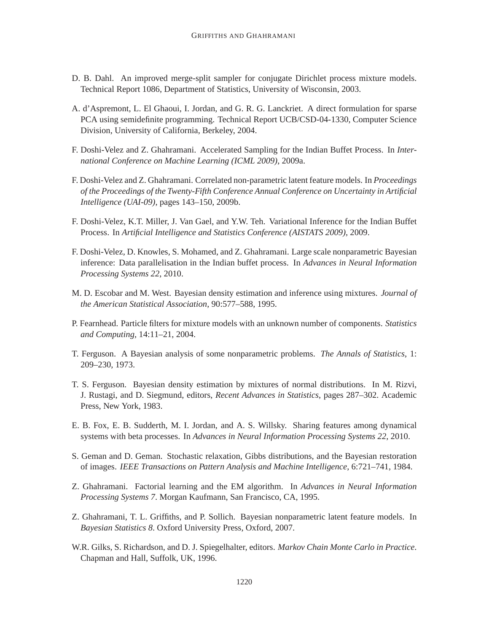- D. B. Dahl. An improved merge-split sampler for conjugate Dirichlet process mixture models. Technical Report 1086, Department of Statistics, University of Wisconsin, 2003.
- A. d'Aspremont, L. El Ghaoui, I. Jordan, and G. R. G. Lanckriet. A direct formulation for sparse PCA using semidefinite programming. Technical Report UCB/CSD-04-1330, Computer Science Division, University of California, Berkeley, 2004.
- F. Doshi-Velez and Z. Ghahramani. Accelerated Sampling for the Indian Buffet Process. In *International Conference on Machine Learning (ICML 2009)*, 2009a.
- F. Doshi-Velez and Z. Ghahramani. Correlated non-parametric latent feature models. In *Proceedings of the Proceedings of the Twenty-Fifth Conference Annual Conference on Uncertainty in Artificial Intelligence (UAI-09)*, pages 143–150, 2009b.
- F. Doshi-Velez, K.T. Miller, J. Van Gael, and Y.W. Teh. Variational Inference for the Indian Buffet Process. In *Artificial Intelligence and Statistics Conference (AISTATS 2009)*, 2009.
- F. Doshi-Velez, D. Knowles, S. Mohamed, and Z. Ghahramani. Large scale nonparametric Bayesian inference: Data parallelisation in the Indian buffet process. In *Advances in Neural Information Processing Systems 22*, 2010.
- M. D. Escobar and M. West. Bayesian density estimation and inference using mixtures. *Journal of the American Statistical Association*, 90:577–588, 1995.
- P. Fearnhead. Particle filters for mixture models with an unknown number of components. *Statistics and Computing*, 14:11–21, 2004.
- T. Ferguson. A Bayesian analysis of some nonparametric problems. *The Annals of Statistics*, 1: 209–230, 1973.
- T. S. Ferguson. Bayesian density estimation by mixtures of normal distributions. In M. Rizvi, J. Rustagi, and D. Siegmund, editors, *Recent Advances in Statistics*, pages 287–302. Academic Press, New York, 1983.
- E. B. Fox, E. B. Sudderth, M. I. Jordan, and A. S. Willsky. Sharing features among dynamical systems with beta processes. In *Advances in Neural Information Processing Systems 22*, 2010.
- S. Geman and D. Geman. Stochastic relaxation, Gibbs distributions, and the Bayesian restoration of images. *IEEE Transactions on Pattern Analysis and Machine Intelligence*, 6:721–741, 1984.
- Z. Ghahramani. Factorial learning and the EM algorithm. In *Advances in Neural Information Processing Systems 7*. Morgan Kaufmann, San Francisco, CA, 1995.
- Z. Ghahramani, T. L. Griffiths, and P. Sollich. Bayesian nonparametric latent feature models. In *Bayesian Statistics 8*. Oxford University Press, Oxford, 2007.
- W.R. Gilks, S. Richardson, and D. J. Spiegelhalter, editors. *Markov Chain Monte Carlo in Practice*. Chapman and Hall, Suffolk, UK, 1996.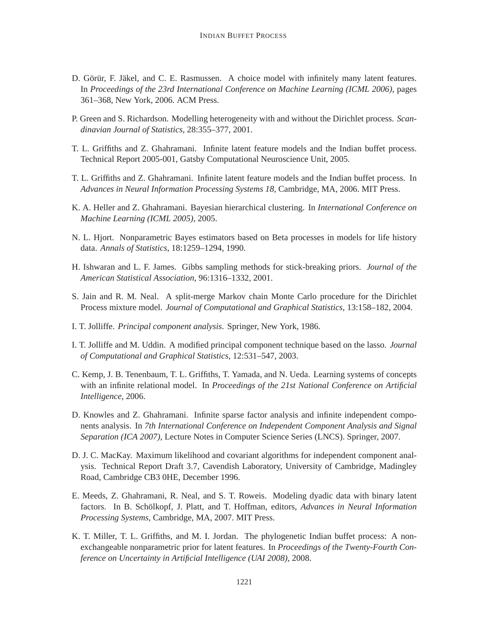- D. Görür, F. Jäkel, and C. E. Rasmussen. A choice model with infinitely many latent features. In *Proceedings of the 23rd International Conference on Machine Learning (ICML 2006)*, pages 361–368, New York, 2006. ACM Press.
- P. Green and S. Richardson. Modelling heterogeneity with and without the Dirichlet process. *Scandinavian Journal of Statistics*, 28:355–377, 2001.
- T. L. Griffiths and Z. Ghahramani. Infinite latent feature models and the Indian buffet process. Technical Report 2005-001, Gatsby Computational Neuroscience Unit, 2005.
- T. L. Griffiths and Z. Ghahramani. Infinite latent feature models and the Indian buffet process. In *Advances in Neural Information Processing Systems 18*, Cambridge, MA, 2006. MIT Press.
- K. A. Heller and Z. Ghahramani. Bayesian hierarchical clustering. In *International Conference on Machine Learning (ICML 2005)*, 2005.
- N. L. Hjort. Nonparametric Bayes estimators based on Beta processes in models for life history data. *Annals of Statistics*, 18:1259–1294, 1990.
- H. Ishwaran and L. F. James. Gibbs sampling methods for stick-breaking priors. *Journal of the American Statistical Association*, 96:1316–1332, 2001.
- S. Jain and R. M. Neal. A split-merge Markov chain Monte Carlo procedure for the Dirichlet Process mixture model. *Journal of Computational and Graphical Statistics*, 13:158–182, 2004.
- I. T. Jolliffe. *Principal component analysis*. Springer, New York, 1986.
- I. T. Jolliffe and M. Uddin. A modified principal component technique based on the lasso. *Journal of Computational and Graphical Statistics*, 12:531–547, 2003.
- C. Kemp, J. B. Tenenbaum, T. L. Griffiths, T. Yamada, and N. Ueda. Learning systems of concepts with an infinite relational model. In *Proceedings of the 21st National Conference on Artificial Intelligence*, 2006.
- D. Knowles and Z. Ghahramani. Infinite sparse factor analysis and infinite independent components analysis. In *7th International Conference on Independent Component Analysis and Signal Separation (ICA 2007)*, Lecture Notes in Computer Science Series (LNCS). Springer, 2007.
- D. J. C. MacKay. Maximum likelihood and covariant algorithms for independent component analysis. Technical Report Draft 3.7, Cavendish Laboratory, University of Cambridge, Madingley Road, Cambridge CB3 0HE, December 1996.
- E. Meeds, Z. Ghahramani, R. Neal, and S. T. Roweis. Modeling dyadic data with binary latent factors. In B. Schölkopf, J. Platt, and T. Hoffman, editors, *Advances in Neural Information Processing Systems*, Cambridge, MA, 2007. MIT Press.
- K. T. Miller, T. L. Griffiths, and M. I. Jordan. The phylogenetic Indian buffet process: A nonexchangeable nonparametric prior for latent features. In *Proceedings of the Twenty-Fourth Conference on Uncertainty in Artificial Intelligence (UAI 2008)*, 2008.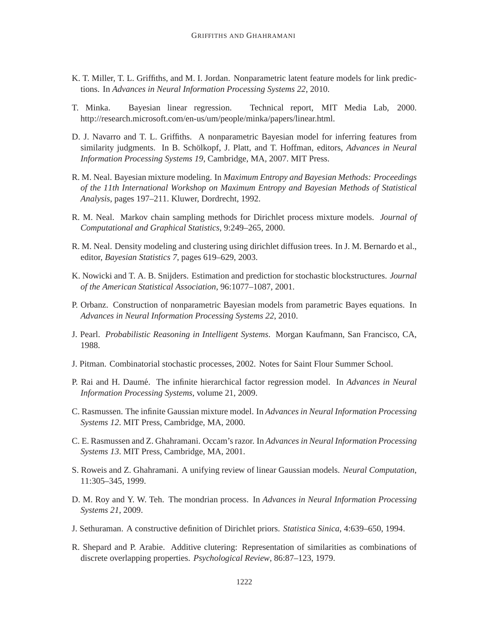- K. T. Miller, T. L. Griffiths, and M. I. Jordan. Nonparametric latent feature models for link predictions. In *Advances in Neural Information Processing Systems 22*, 2010.
- T. Minka. Bayesian linear regression. Technical report, MIT Media Lab, 2000. http://research.microsoft.com/en-us/um/people/minka/papers/linear.html.
- D. J. Navarro and T. L. Griffiths. A nonparametric Bayesian model for inferring features from similarity judgments. In B. Schölkopf, J. Platt, and T. Hoffman, editors, Advances in Neural *Information Processing Systems 19*, Cambridge, MA, 2007. MIT Press.
- R. M. Neal. Bayesian mixture modeling. In *Maximum Entropy and Bayesian Methods: Proceedings of the 11th International Workshop on Maximum Entropy and Bayesian Methods of Statistical Analysis*, pages 197–211. Kluwer, Dordrecht, 1992.
- R. M. Neal. Markov chain sampling methods for Dirichlet process mixture models. *Journal of Computational and Graphical Statistics*, 9:249–265, 2000.
- R. M. Neal. Density modeling and clustering using dirichlet diffusion trees. In J. M. Bernardo et al., editor, *Bayesian Statistics 7*, pages 619–629, 2003.
- K. Nowicki and T. A. B. Snijders. Estimation and prediction for stochastic blockstructures. *Journal of the American Statistical Association*, 96:1077–1087, 2001.
- P. Orbanz. Construction of nonparametric Bayesian models from parametric Bayes equations. In *Advances in Neural Information Processing Systems 22*, 2010.
- J. Pearl. *Probabilistic Reasoning in Intelligent Systems*. Morgan Kaufmann, San Francisco, CA, 1988.
- J. Pitman. Combinatorial stochastic processes, 2002. Notes for Saint Flour Summer School.
- P. Rai and H. Daume. The infinite hierarchical factor regression model. In ´ *Advances in Neural Information Processing Systems*, volume 21, 2009.
- C. Rasmussen. The infinite Gaussian mixture model. In *Advances in Neural Information Processing Systems 12*. MIT Press, Cambridge, MA, 2000.
- C. E. Rasmussen and Z. Ghahramani. Occam's razor. In *Advances in Neural Information Processing Systems 13*. MIT Press, Cambridge, MA, 2001.
- S. Roweis and Z. Ghahramani. A unifying review of linear Gaussian models. *Neural Computation*, 11:305–345, 1999.
- D. M. Roy and Y. W. Teh. The mondrian process. In *Advances in Neural Information Processing Systems 21*, 2009.
- J. Sethuraman. A constructive definition of Dirichlet priors. *Statistica Sinica*, 4:639–650, 1994.
- R. Shepard and P. Arabie. Additive clutering: Representation of similarities as combinations of discrete overlapping properties. *Psychological Review*, 86:87–123, 1979.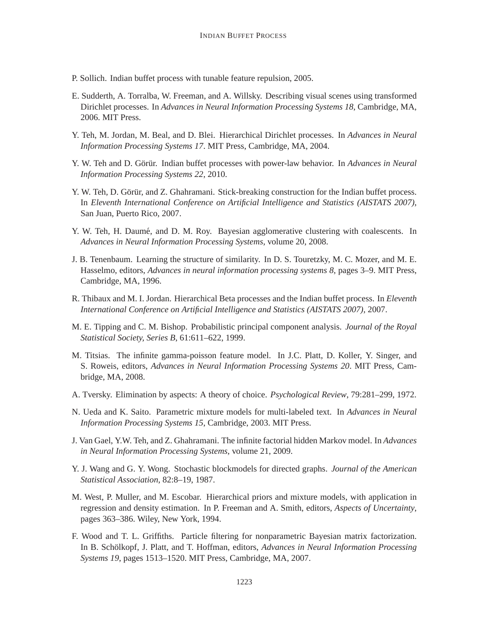- P. Sollich. Indian buffet process with tunable feature repulsion, 2005.
- E. Sudderth, A. Torralba, W. Freeman, and A. Willsky. Describing visual scenes using transformed Dirichlet processes. In *Advances in Neural Information Processing Systems 18*, Cambridge, MA, 2006. MIT Press.
- Y. Teh, M. Jordan, M. Beal, and D. Blei. Hierarchical Dirichlet processes. In *Advances in Neural Information Processing Systems 17*. MIT Press, Cambridge, MA, 2004.
- Y. W. Teh and D. Görür. Indian buffet processes with power-law behavior. In *Advances in Neural Information Processing Systems 22*, 2010.
- Y. W. Teh, D. Görür, and Z. Ghahramani. Stick-breaking construction for the Indian buffet process. In *Eleventh International Conference on Artificial Intelligence and Statistics (AISTATS 2007)*, San Juan, Puerto Rico, 2007.
- Y. W. Teh, H. Daumé, and D. M. Roy. Bayesian agglomerative clustering with coalescents. In *Advances in Neural Information Processing Systems*, volume 20, 2008.
- J. B. Tenenbaum. Learning the structure of similarity. In D. S. Touretzky, M. C. Mozer, and M. E. Hasselmo, editors, *Advances in neural information processing systems 8*, pages 3–9. MIT Press, Cambridge, MA, 1996.
- R. Thibaux and M. I. Jordan. Hierarchical Beta processes and the Indian buffet process. In *Eleventh International Conference on Artificial Intelligence and Statistics (AISTATS 2007)*, 2007.
- M. E. Tipping and C. M. Bishop. Probabilistic principal component analysis. *Journal of the Royal Statistical Society, Series B*, 61:611–622, 1999.
- M. Titsias. The infinite gamma-poisson feature model. In J.C. Platt, D. Koller, Y. Singer, and S. Roweis, editors, *Advances in Neural Information Processing Systems 20*. MIT Press, Cambridge, MA, 2008.
- A. Tversky. Elimination by aspects: A theory of choice. *Psychological Review*, 79:281–299, 1972.
- N. Ueda and K. Saito. Parametric mixture models for multi-labeled text. In *Advances in Neural Information Processing Systems 15*, Cambridge, 2003. MIT Press.
- J. Van Gael, Y.W. Teh, and Z. Ghahramani. The infinite factorial hidden Markov model. In *Advances in Neural Information Processing Systems*, volume 21, 2009.
- Y. J. Wang and G. Y. Wong. Stochastic blockmodels for directed graphs. *Journal of the American Statistical Association*, 82:8–19, 1987.
- M. West, P. Muller, and M. Escobar. Hierarchical priors and mixture models, with application in regression and density estimation. In P. Freeman and A. Smith, editors, *Aspects of Uncertainty*, pages 363–386. Wiley, New York, 1994.
- F. Wood and T. L. Griffiths. Particle filtering for nonparametric Bayesian matrix factorization. In B. Schölkopf, J. Platt, and T. Hoffman, editors, Advances in Neural Information Processing *Systems 19*, pages 1513–1520. MIT Press, Cambridge, MA, 2007.